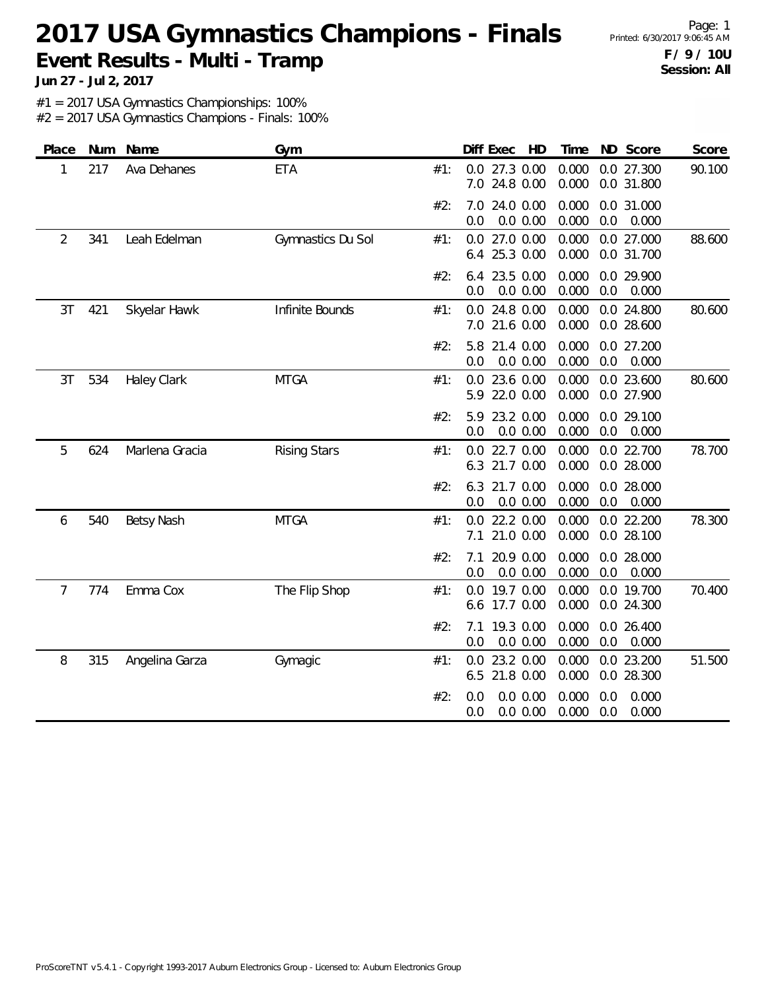Page: 1 **F / 9 / 10U Session: All**

**Jun 27 - Jul 2, 2017**

#1 = 2017 USA Gymnastics Championships: 100%

| Place          | Num | Name               | Gym                 |     | Diff Exec<br>HD                        | Time           | ND Score                       | Score  |
|----------------|-----|--------------------|---------------------|-----|----------------------------------------|----------------|--------------------------------|--------|
| 1              | 217 | Ava Dehanes        | <b>ETA</b>          | #1: | 0.0<br>27.3 0.00<br>7.0<br>24.8 0.00   | 0.000<br>0.000 | 0.0 27.300<br>0.0 31.800       | 90.100 |
|                |     |                    |                     | #2: | 24.0 0.00<br>7.0<br>0.0<br>$0.0\ 0.00$ | 0.000<br>0.000 | 0.0 31.000<br>0.0<br>0.000     |        |
| $\overline{2}$ | 341 | Leah Edelman       | Gymnastics Du Sol   | #1: | $0.0$ 27.0 $0.00$<br>25.3 0.00<br>6.4  | 0.000<br>0.000 | 0.0 27.000<br>0.0 31.700       | 88.600 |
|                |     |                    |                     | #2: | 23.5 0.00<br>6.4<br>0.0 0.00<br>0.0    | 0.000<br>0.000 | 0.0 29.900<br>0.0<br>0.000     |        |
| 3T             | 421 | Skyelar Hawk       | Infinite Bounds     | #1: | 24.8 0.00<br>0.0<br>7.0<br>21.6 0.00   | 0.000<br>0.000 | 0.0 24.800<br>0.0 28.600       | 80.600 |
|                |     |                    |                     | #2: | 21.4 0.00<br>5.8<br>0.0 0.00<br>0.0    | 0.000<br>0.000 | 0.0 27.200<br>0.0<br>0.000     |        |
| 3T             | 534 | <b>Haley Clark</b> | <b>MTGA</b>         | #1: | 23.6 0.00<br>0.0<br>22.0 0.00<br>5.9   | 0.000<br>0.000 | 0.0 23.600<br>0.0 27.900       | 80.600 |
|                |     |                    |                     | #2: | 23.2 0.00<br>5.9<br>0.0<br>0.0 0.00    | 0.000<br>0.000 | 0.0 29.100<br>0.0<br>0.000     |        |
| 5              | 624 | Marlena Gracia     | <b>Rising Stars</b> | #1: | 22.7 0.00<br>0.0<br>21.7 0.00<br>6.3   | 0.000<br>0.000 | 0.0 22.700<br>0.0 28.000       | 78.700 |
|                |     |                    |                     | #2: | 21.7 0.00<br>6.3<br>0.0 0.00<br>0.0    | 0.000<br>0.000 | 0.0 28.000<br>$0.0\,$<br>0.000 |        |
| 6              | 540 | <b>Betsy Nash</b>  | <b>MTGA</b>         | #1: | $0.0$ 22.2 $0.00$<br>21.0 0.00<br>7.1  | 0.000<br>0.000 | 0.0 22.200<br>0.0 28.100       | 78.300 |
|                |     |                    |                     | #2: | 20.9 0.00<br>7.1<br>0.0 0.00<br>0.0    | 0.000<br>0.000 | 0.0 28.000<br>$0.0\,$<br>0.000 |        |
| $\overline{7}$ | 774 | Emma Cox           | The Flip Shop       | #1: | 19.7 0.00<br>0.0<br>17.7 0.00<br>6.6   | 0.000<br>0.000 | 0.0 19.700<br>0.0 24.300       | 70.400 |
|                |     |                    |                     | #2: | 19.3 0.00<br>7.1<br>0.0 0.00<br>0.0    | 0.000<br>0.000 | 0.0 26.400<br>0.000<br>0.0     |        |
| 8              | 315 | Angelina Garza     | Gymagic             | #1: | 23.2 0.00<br>0.0<br>21.8 0.00<br>6.5   | 0.000<br>0.000 | 0.0 23.200<br>0.0 28.300       | 51.500 |
|                |     |                    |                     | #2: | 0.0 0.00<br>0.0<br>0.0<br>0.0 0.00     | 0.000<br>0.000 | 0.000<br>0.0<br>0.0<br>0.000   |        |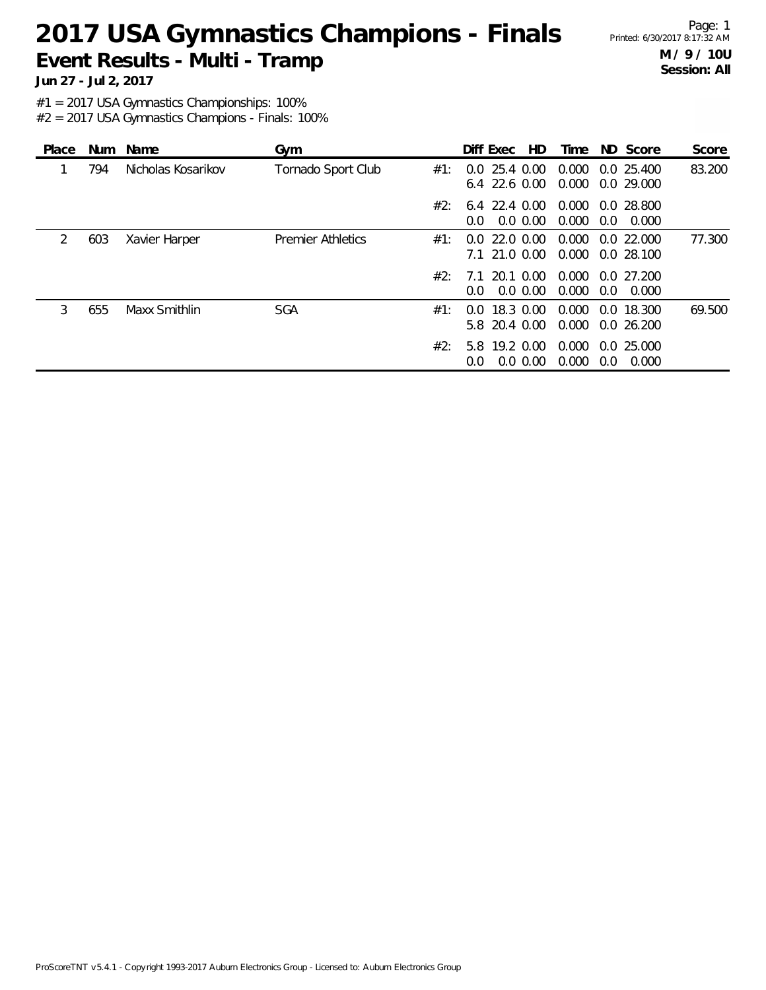Page: 1 **M / 9 / 10U Session: All**

**Jun 27 - Jul 2, 2017**

#1 = 2017 USA Gymnastics Championships: 100%

| Place | <b>Num</b> | Name               | Gym                      |     | Diff Exec<br>HD.                                     | Time           |     | ND Score                 | Score  |
|-------|------------|--------------------|--------------------------|-----|------------------------------------------------------|----------------|-----|--------------------------|--------|
|       | 794        | Nicholas Kosarikov | Tornado Sport Club       | #1: | 25.4 0.00<br>0.0<br>$6.4$ 22.6 0.00                  | 0.000<br>0.000 |     | 0.0 25.400<br>0.0 29.000 | 83.200 |
|       |            |                    |                          | #2: | $6.4$ 22.4 0.00<br>$0.0\,0.00$<br>$0.0^{\circ}$      | 0.000<br>0.000 | 0.0 | 0.0 28.800<br>0.000      |        |
| 2     | 603        | Xavier Harper      | <b>Premier Athletics</b> | #1: | 22.0 0.00<br>$0.0^-$<br>7.1 21.0 0.00                | 0.000<br>0.000 |     | 0.022.000<br>0.0 28.100  | 77.300 |
|       |            |                    |                          | #2: | 0.00<br>- 20.1<br>71<br>$0.0\,0.00$<br>$0.0^{\circ}$ | 0.000<br>0.000 | 0.0 | 0.027.200<br>0.000       |        |
| 3     | 655        | Maxx Smithlin      | <b>SGA</b>               | #1: | 18.3 0.00<br>0.0<br>5.8 20.4 0.00                    | 0.000<br>0.000 |     | 0.0 18.300<br>0.0 26.200 | 69.500 |
|       |            |                    |                          | #2: | 5.8 19.2 0.00<br>$0.0\,0.00$<br>0.0                  | 0.000<br>0.000 | 0.0 | 0.025.000<br>0.000       |        |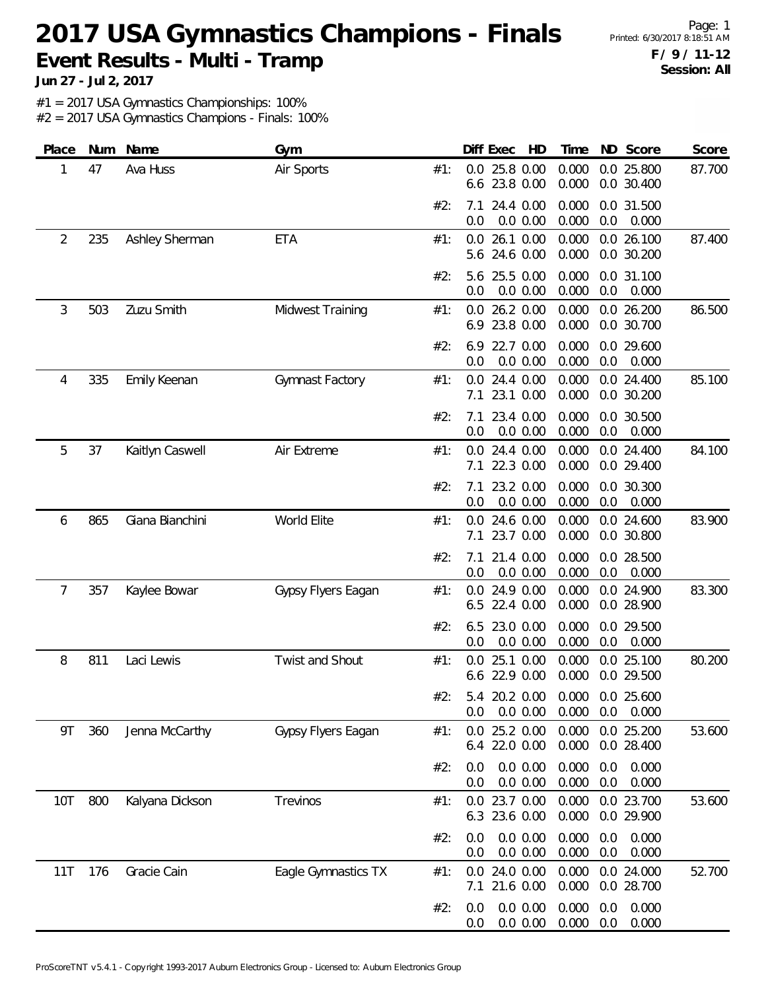Page: 1 **F / 9 / 11-12 Session: All**

**Jun 27 - Jul 2, 2017**

#1 = 2017 USA Gymnastics Championships: 100%

| Place | Num | Name            | Gym                 |     | Diff Exec<br>HD                        | ND Score<br>Time                                        | Score  |
|-------|-----|-----------------|---------------------|-----|----------------------------------------|---------------------------------------------------------|--------|
| 1     | 47  | Ava Huss        | Air Sports          | #1: | 25.8 0.00<br>0.0<br>23.8 0.00<br>6.6   | 0.000<br>0.0 25.800<br>0.000<br>0.0 30.400              | 87.700 |
|       |     |                 |                     | #2: | 24.4 0.00<br>7.1<br>$0.0\ 0.00$<br>0.0 | 0.000<br>0.0 31.500<br>0.000<br>0.0<br>0.000            |        |
| 2     | 235 | Ashley Sherman  | <b>ETA</b>          | #1: | 26.1 0.00<br>0.0<br>5.6 24.6 0.00      | 0.000<br>0.0 26.100<br>0.000<br>0.0 30.200              | 87.400 |
|       |     |                 |                     | #2: | 25.5 0.00<br>5.6<br>0.0<br>0.0 0.00    | 0.000<br>0.0 31.100<br>0.000<br>0.0<br>0.000            |        |
| 3     | 503 | Zuzu Smith      | Midwest Training    | #1: | 26.2 0.00<br>0.0<br>23.8 0.00<br>6.9   | 0.000<br>0.0 26.200<br>0.000<br>0.0 30.700              | 86.500 |
|       |     |                 |                     | #2: | 22.7 0.00<br>6.9<br>0.0<br>0.0 0.00    | 0.000<br>0.0 29.600<br>0.000<br>0.0<br>0.000            |        |
| 4     | 335 | Emily Keenan    | Gymnast Factory     | #1: | 24.4 0.00<br>0.0<br>23.1 0.00<br>7.1   | 0.000<br>0.0 24.400<br>0.000<br>0.0 30.200              | 85.100 |
|       |     |                 |                     | #2: | 23.4 0.00<br>7.1<br>0.0 0.00<br>0.0    | 0.000<br>0.0 30.500<br>0.000<br>0.0<br>0.000            |        |
| 5     | 37  | Kaitlyn Caswell | Air Extreme         | #1: | 24.4 0.00<br>0.0<br>22.3 0.00<br>7.1   | 0.000<br>0.0 24.400<br>0.000<br>0.0 29.400              | 84.100 |
|       |     |                 |                     | #2: | 23.2 0.00<br>7.1<br>0.0<br>0.0 0.00    | 0.000<br>0.0 30.300<br>0.000<br>0.0<br>0.000            |        |
| 6     | 865 | Giana Bianchini | World Elite         | #1: | 24.6 0.00<br>0.0<br>23.7 0.00<br>7.1   | 0.000<br>0.0 24.600<br>0.000<br>0.0 30.800              | 83.900 |
|       |     |                 |                     | #2: | 21.4 0.00<br>7.1<br>0.0<br>0.0 0.00    | 0.000<br>0.0 28.500<br>0.000<br>0.0<br>0.000            |        |
| 7     | 357 | Kaylee Bowar    | Gypsy Flyers Eagan  | #1: | 24.9 0.00<br>0.0<br>22.4 0.00<br>6.5   | 0.000<br>0.0 24.900<br>0.000<br>0.0 28.900              | 83.300 |
|       |     |                 |                     | #2: | 23.0 0.00<br>6.5<br>0.0 0.00<br>0.0    | 0.000<br>0.0 29.500<br>0.000<br>0.0<br>0.000            |        |
| 8     | 811 | Laci Lewis      | Twist and Shout     | #1: | 25.1 0.00<br>0.0<br>22.9 0.00<br>6.6   | 0.000<br>0.0 25.100<br>0.000<br>0.0 29.500              | 80.200 |
|       |     |                 |                     | #2: | 0.0 0.00<br>0.0                        | 5.4 20.2 0.00 0.000 0.0 25.600<br>0.000<br>0.0<br>0.000 |        |
| 9Τ    | 360 | Jenna McCarthy  | Gypsy Flyers Eagan  | #1: | 25.2 0.00<br>0.0<br>22.0 0.00<br>6.4   | 0.000<br>0.0 25.200<br>0.000<br>0.0 28.400              | 53.600 |
|       |     |                 |                     | #2: | 0.0 0.00<br>0.0<br>0.0 0.00<br>0.0     | 0.000<br>0.000<br>0.0<br>0.000<br>0.0<br>0.000          |        |
| 10T   | 800 | Kalyana Dickson | Trevinos            | #1: | 0.0 23.7 0.00<br>6.3 23.6 0.00         | 0.000<br>0.0 23.700<br>0.000<br>0.0 29.900              | 53.600 |
|       |     |                 |                     | #2: | 0.0 0.00<br>0.0<br>0.0 0.00<br>0.0     | 0.000<br>0.000<br>0.0<br>0.000<br>0.000<br>0.0          |        |
| 11T   | 176 | Gracie Cain     | Eagle Gymnastics TX | #1: | 24.0 0.00<br>0.0<br>21.6 0.00<br>7.1   | 0.000<br>0.0 24.000<br>0.0 28.700<br>0.000              | 52.700 |
|       |     |                 |                     | #2: | 0.0 0.00<br>0.0<br>0.0 0.00<br>0.0     | 0.000<br>0.000<br>0.0<br>0.000<br>0.000<br>0.0          |        |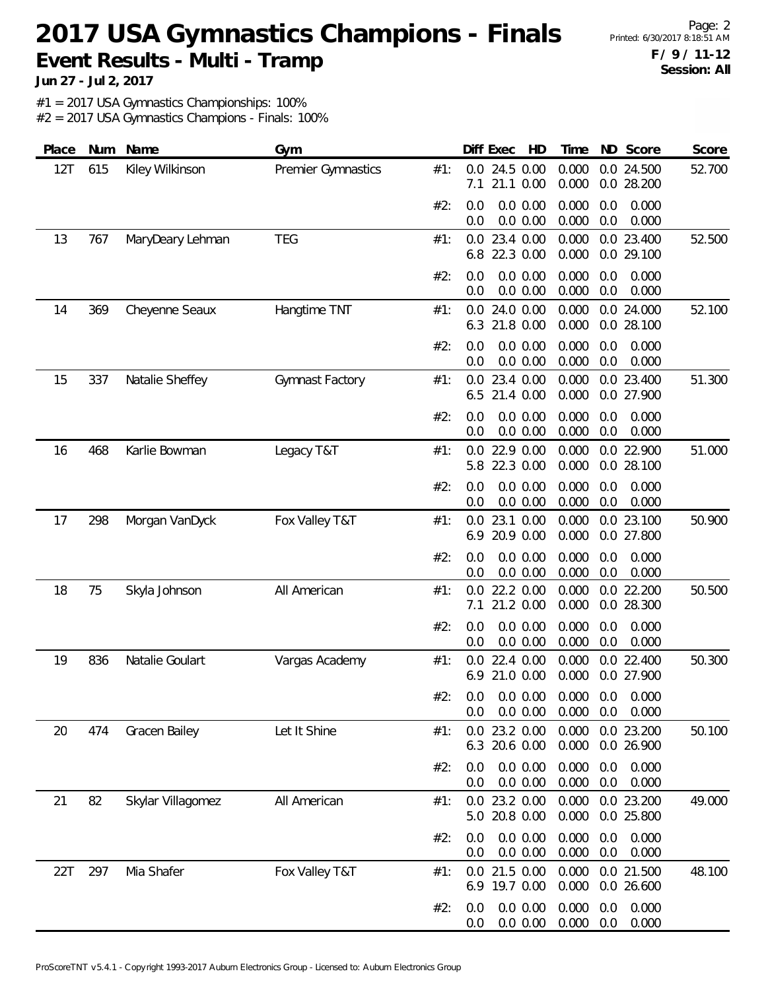Page: 2 **F / 9 / 11-12 Session: All**

**Jun 27 - Jul 2, 2017**

#1 = 2017 USA Gymnastics Championships: 100%

| Place | Num | Name              | Gym                |     | Diff Exec<br>HD                       | ND Score<br>Time                                      | Score  |
|-------|-----|-------------------|--------------------|-----|---------------------------------------|-------------------------------------------------------|--------|
| 12T   | 615 | Kiley Wilkinson   | Premier Gymnastics | #1: | 0.0<br>24.5 0.00<br>21.1 0.00<br>7.1  | 0.000<br>0.0 24.500<br>0.000<br>0.0 28.200            | 52.700 |
|       |     |                   |                    | #2: | 0.0 0.00<br>0.0<br>0.0<br>0.0 0.00    | 0.000<br>0.0<br>0.000<br>0.000<br>0.0<br>0.000        |        |
| 13    | 767 | MaryDeary Lehman  | <b>TEG</b>         | #1: | 0.0 23.4 0.00<br>6.8<br>22.3 0.00     | 0.000<br>0.0 23.400<br>0.000<br>0.0 29.100            | 52.500 |
|       |     |                   |                    | #2: | 0.0 0.00<br>0.0<br>0.0 0.00<br>0.0    | 0.000<br>0.000<br>0.0<br>0.000<br>0.0<br>0.000        |        |
| 14    | 369 | Cheyenne Seaux    | Hangtime TNT       | #1: | 24.0 0.00<br>0.0<br>21.8 0.00<br>6.3  | 0.000<br>0.0 24.000<br>0.0 28.100<br>0.000            | 52.100 |
|       |     |                   |                    | #2: | 0.0 0.00<br>0.0<br>0.0<br>0.0 0.00    | 0.000<br>0.000<br>0.0<br>0.0<br>0.000<br>0.000        |        |
| 15    | 337 | Natalie Sheffey   | Gymnast Factory    | #1: | 23.4 0.00<br>0.0<br>21.4 0.00<br>6.5  | 0.000<br>0.0 23.400<br>0.000<br>0.0 27.900            | 51.300 |
|       |     |                   |                    | #2: | 0.0 0.00<br>0.0<br>0.0 0.00<br>0.0    | 0.000<br>0.000<br>0.0<br>0.000<br>0.0<br>0.000        |        |
| 16    | 468 | Karlie Bowman     | Legacy T&T         | #1: | 22.9 0.00<br>0.0<br>22.3 0.00<br>5.8  | 0.000<br>0.0 22.900<br>0.000<br>0.0 28.100            | 51.000 |
|       |     |                   |                    | #2: | 0.0 0.00<br>0.0<br>0.0<br>0.0 0.00    | 0.000<br>0.0<br>0.000<br>0.000<br>0.0<br>0.000        |        |
| 17    | 298 | Morgan VanDyck    | Fox Valley T&T     | #1: | 23.1 0.00<br>0.0<br>6.9<br>20.9 0.00  | 0.000<br>0.0 23.100<br>0.000<br>0.0 27.800            | 50.900 |
|       |     |                   |                    | #2: | $0.0\ 0.00$<br>0.0<br>0.0<br>0.0 0.00 | 0.000<br>0.0<br>0.000<br>0.000<br>0.0<br>0.000        |        |
| 18    | 75  | Skyla Johnson     | All American       | #1: | 22.2 0.00<br>0.0<br>21.2 0.00<br>7.1  | 0.0 22.200<br>0.000<br>0.000<br>0.0 28.300            | 50.500 |
|       |     |                   |                    | #2: | 0.0 0.00<br>0.0<br>0.0 0.00<br>0.0    | 0.000<br>0.0<br>0.000<br>0.000<br>0.0<br>0.000        |        |
| 19    | 836 | Natalie Goulart   | Vargas Academy     | #1: | 22.4 0.00<br>0.0<br>21.0 0.00<br>6.9  | 0.000<br>0.0 22.400<br>0.000<br>0.0 27.900            | 50.300 |
|       |     |                   |                    | #2: | 0.0 0.00<br>0.0                       | 0.0 0.0 0.00 0.000 0.0 0.000<br>0.000<br>0.0<br>0.000 |        |
| 20    | 474 | Gracen Bailey     | Let It Shine       | #1: | 0.0<br>23.2 0.00<br>6.3 20.6 0.00     | 0.0 23.200<br>0.000<br>0.000<br>0.0 26.900            | 50.100 |
|       |     |                   |                    | #2: | 0.0 0.00<br>0.0<br>0.0 0.00<br>0.0    | 0.000<br>0.0<br>0.000<br>0.000<br>0.000<br>0.0        |        |
| 21    | 82  | Skylar Villagomez | All American       | #1: | 0.0 23.2 0.00<br>20.8 0.00<br>5.0     | 0.000<br>0.0 23.200<br>0.000<br>0.0 25.800            | 49.000 |
|       |     |                   |                    | #2: | 0.0 0.00<br>0.0<br>0.0 0.00<br>0.0    | 0.000<br>0.0<br>0.000<br>0.000<br>0.000<br>0.0        |        |
| 22T   | 297 | Mia Shafer        | Fox Valley T&T     | #1: | 21.5 0.00<br>0.0<br>6.9 19.7 0.00     | 0.000<br>0.0 21.500<br>0.000<br>0.0 26.600            | 48.100 |
|       |     |                   |                    | #2: | 0.0 0.00<br>0.0<br>0.0 0.00<br>0.0    | 0.000<br>0.000<br>0.0<br>0.000<br>0.0<br>0.000        |        |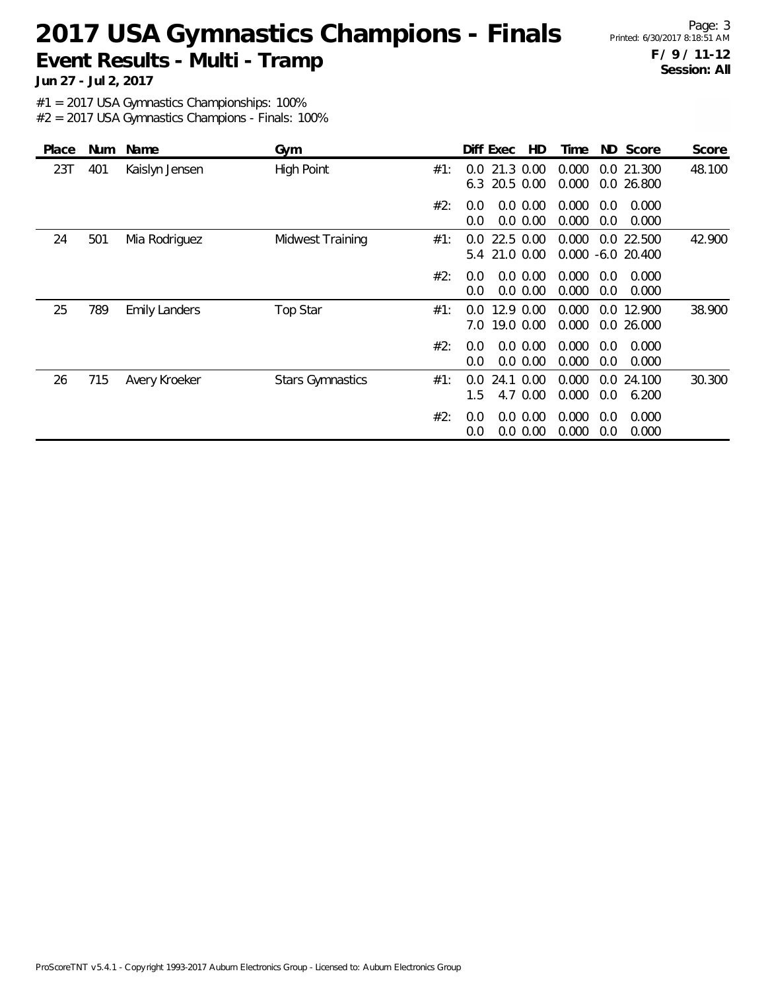Page: 3 **F / 9 / 11-12 Session: All**

**Jun 27 - Jul 2, 2017**

#1 = 2017 USA Gymnastics Championships: 100%

| Place | Num | Name                 | Gym                     |     | HD<br>Diff Exec                                | ND Score<br>Time                                | Score  |
|-------|-----|----------------------|-------------------------|-----|------------------------------------------------|-------------------------------------------------|--------|
| 23T   | 401 | Kaislyn Jensen       | <b>High Point</b>       | #1: | 21.3 0.00<br>$0.0^{\circ}$<br>20.5 0.00<br>6.3 | 0.000<br>0.0 21.300<br>0.000<br>0.0 26.800      | 48.100 |
|       |     |                      |                         | #2: | 0.0 0.00<br>0.0<br>0.0 0.00<br>0.0             | 0.000<br>0.0<br>0.000<br>0.000<br>0.0<br>0.000  |        |
| 24    | 501 | Mia Rodriguez        | Midwest Training        | #1: | 22.5 0.00<br>0.0<br>21.0 0.00<br>5.4           | 0.000<br>0.0 22.500<br>0.000<br>$-6.0$ 20.400   | 42.900 |
|       |     |                      |                         | #2: | 0.0 0.00<br>0.0<br>0.0 0.00<br>0.0             | 0.000<br>0.0<br>0.000<br>0.000<br>0.0<br>0.000  |        |
| 25    | 789 | <b>Emily Landers</b> | Top Star                | #1: | 12.9 0.00<br>0.0<br>19.0 0.00<br>7.0           | 0.000<br>12.900<br>0.0<br>0.000<br>0.0 26.000   | 38.900 |
|       |     |                      |                         | #2: | 0.0 0.00<br>$0.0^{\circ}$<br>0.0 0.00<br>0.0   | 0.000<br>0.000<br>0.0<br>0.000<br>0.0<br>0.000  |        |
| 26    | 715 | Avery Kroeker        | <b>Stars Gymnastics</b> | #1: | 24.1 0.00<br>$0.0^{\circ}$<br>1.5<br>4.7 0.00  | 0.000<br>0.0<br>24.100<br>0.000<br>0.0<br>6.200 | 30.300 |
|       |     |                      |                         | #2: | 0.0 0.00<br>0.0<br>$0.0\ 0.00$<br>0.0          | 0.000<br>0.000<br>0.0<br>0.000<br>0.000<br>0.0  |        |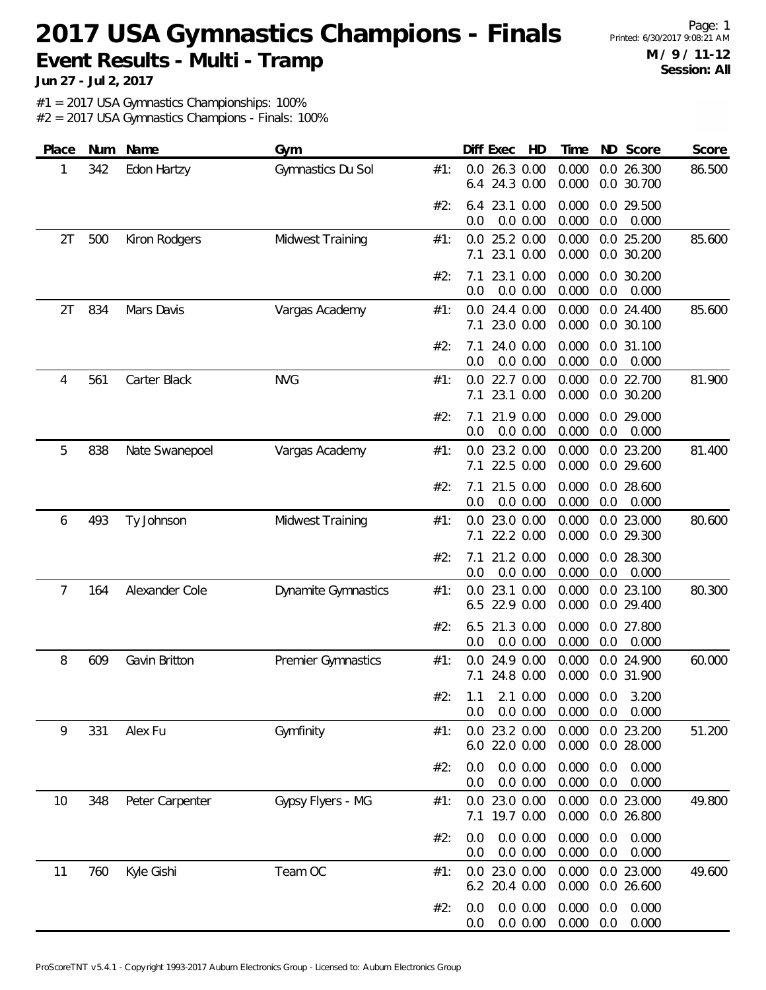Page: 1 **M / 9 / 11-12 Session: All**

**Jun 27 - Jul 2, 2017**

#1 = 2017 USA Gymnastics Championships: 100%

| Place | Num | Name            | Gym                        |     | Diff Exec<br>HD                                 | Time              | ND Score                     | Score  |
|-------|-----|-----------------|----------------------------|-----|-------------------------------------------------|-------------------|------------------------------|--------|
| 1     | 342 | Edon Hartzy     | Gymnastics Du Sol          | #1: | 26.3 0.00<br>0.0<br>24.3 0.00<br>6.4            | 0.000<br>0.000    | 0.0 26.300<br>0.0 30.700     | 86.500 |
|       |     |                 |                            | #2: | 23.1 0.00<br>6.4<br>0.0 0.00<br>0.0             | 0.000<br>0.000    | 0.0 29.500<br>0.0<br>0.000   |        |
| 2T    | 500 | Kiron Rodgers   | Midwest Training           | #1: | 25.2 0.00<br>0.0<br>23.1 0.00<br>7.1            | 0.000<br>0.000    | 0.0 25.200<br>0.0 30.200     | 85.600 |
|       |     |                 |                            | #2: | 23.1 0.00<br>7.1<br>0.0<br>0.0 0.00             | 0.000<br>0.000    | 0.0 30.200<br>0.0<br>0.000   |        |
| 2T    | 834 | Mars Davis      | Vargas Academy             | #1: | 24.4 0.00<br>0.0<br>23.0 0.00<br>7.1            | 0.000<br>0.000    | 0.0 24.400<br>0.0 30.100     | 85.600 |
|       |     |                 |                            | #2: | 24.0 0.00<br>7.1<br>0.0<br>0.0 0.00             | 0.000<br>0.000    | 0.0 31.100<br>0.0<br>0.000   |        |
| 4     | 561 | Carter Black    | <b>NVG</b>                 | #1: | 22.7 0.00<br>0.0<br>23.1 0.00<br>7.1            | 0.000<br>0.000    | 0.0 22.700<br>0.0 30.200     | 81.900 |
|       |     |                 |                            | #2: | 21.9 0.00<br>7.1<br>0.0 0.00<br>0.0             | 0.000<br>0.000    | 0.0 29.000<br>0.000<br>0.0   |        |
| 5     | 838 | Nate Swanepoel  | Vargas Academy             | #1: | 23.2 0.00<br>0.0<br>22.5 0.00<br>7.1            | 0.000<br>0.000    | 0.0 23.200<br>0.0 29.600     | 81.400 |
|       |     |                 |                            | #2: | 21.5 0.00<br>7.1<br>0.0<br>0.0 0.00             | 0.000<br>0.000    | 0.0 28.600<br>0.0<br>0.000   |        |
| 6     | 493 | Ty Johnson      | Midwest Training           | #1: | 23.0 0.00<br>0.0<br>22.2 0.00<br>7.1            | 0.000<br>0.000    | 0.0 23.000<br>0.0 29.300     | 80.600 |
|       |     |                 |                            | #2: | 21.2 0.00<br>7.1<br>0.0<br>0.0 0.00             | 0.000<br>0.000    | 0.0 28.300<br>0.0<br>0.000   |        |
| 7     | 164 | Alexander Cole  | <b>Dynamite Gymnastics</b> | #1: | 23.1 0.00<br>0.0<br>22.9 0.00<br>6.5            | 0.000<br>0.000    | 0.0 23.100<br>0.0 29.400     | 80.300 |
|       |     |                 |                            | #2: | 21.3 0.00<br>6.5<br>0.0 0.00<br>0.0             | 0.000<br>0.000    | 0.0 27.800<br>0.000<br>0.0   |        |
| 8     | 609 | Gavin Britton   | Premier Gymnastics         | #1: | 24.9 0.00<br>0.0<br>24.8 0.00<br>7.1            | 0.000<br>0.000    | 0.0 24.900<br>0.0 31.900     | 60.000 |
|       |     |                 |                            | #2: | 1.1 2.1 0.00 0.000 0.0 3.200<br>0.0 0.00<br>0.0 | $0.000 \quad 0.0$ | 0.000                        |        |
| 9     | 331 | Alex Fu         | Gymfinity                  | #1: | 0.0 23.2 0.00<br>6.0 22.0 0.00                  | 0.000<br>0.000    | 0.0 23.200<br>0.0 28.000     | 51.200 |
|       |     |                 |                            | #2: | 0.0 0.00<br>0.0<br>0.0 0.00<br>0.0              | 0.000<br>0.000    | 0.0<br>0.000<br>0.0<br>0.000 |        |
| 10    | 348 | Peter Carpenter | Gypsy Flyers - MG          | #1: | 0.0 23.0 0.00<br>19.7 0.00<br>7.1               | 0.000<br>0.000    | 0.0 23.000<br>0.0 26.800     | 49.800 |
|       |     |                 |                            | #2: | 0.0 0.00<br>0.0<br>0.0 0.00<br>0.0              | 0.000<br>0.000    | 0.0<br>0.000<br>0.000<br>0.0 |        |
| 11    | 760 | Kyle Gishi      | Team OC                    | #1: | 23.0 0.00<br>0.0<br>6.2 20.4 0.00               | 0.000<br>0.000    | 0.0 23.000<br>0.0 26.600     | 49.600 |
|       |     |                 |                            | #2: | 0.0 0.00<br>0.0<br>0.0 0.00<br>0.0              | 0.000<br>0.000    | 0.0<br>0.000<br>0.000<br>0.0 |        |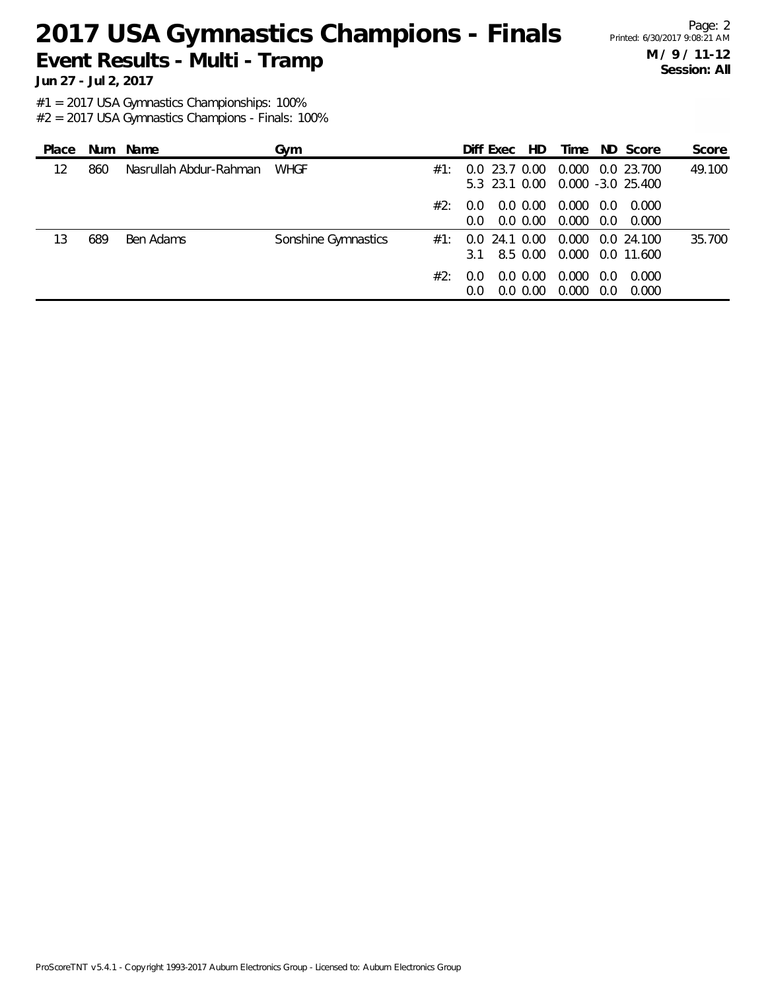Page: 2 **M / 9 / 11-12 Session: All**

**Jun 27 - Jul 2, 2017**

#1 = 2017 USA Gymnastics Championships: 100%

| Place | Num | Name                   | Gvm                 |     | Diff Exec            | HD.                        | Time           |            | ND Score                           | Score  |
|-------|-----|------------------------|---------------------|-----|----------------------|----------------------------|----------------|------------|------------------------------------|--------|
| 12    | 860 | Nasrullah Abdur-Rahman | <b>WHGF</b>         | #1: | n n<br>5.3 23.1 0.00 | 23.7 0.00                  | 0.000          |            | 0.0 23.700<br>$0.000 - 3.0 25.400$ | 49.100 |
|       |     |                        |                     | #2: | 0.0<br>$0.0^{\circ}$ | 0.0 0.00<br>$0.0\,0.00$    | 0.000<br>0.000 | 0.0<br>0.0 | 0.000<br>0.000                     |        |
| 13    | 689 | Ben Adams              | Sonshine Gymnastics | #1∶ | 0.O<br>3.1           | 24.1 0.00<br>8.5 0.00      | 0.000          |            | 0.0 24.100<br>0.000 0.0 11.600     | 35.700 |
|       |     |                        |                     | #2: | 0.0<br>$0.0^{\circ}$ | $0.0\,0.00$<br>$0.0\,0.00$ | 0.000<br>0.000 | 0.0<br>0.0 | 0.000<br>0.000                     |        |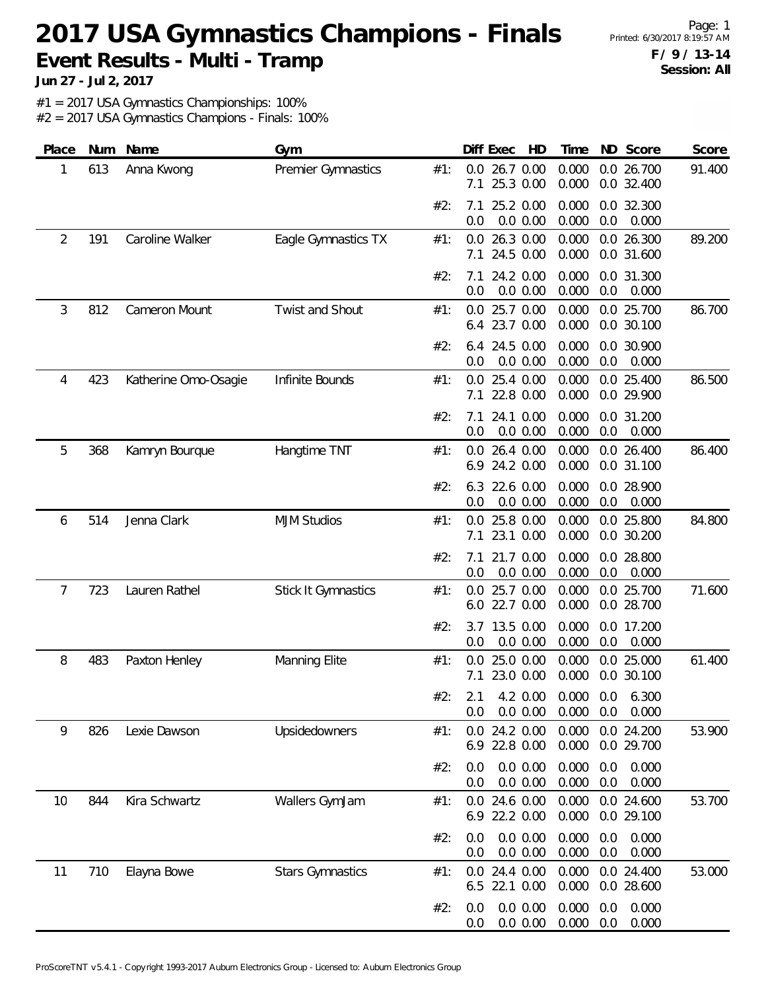Page: 1 **F / 9 / 13-14 Session: All**

**Jun 27 - Jul 2, 2017**

#1 = 2017 USA Gymnastics Championships: 100%

| Place | Num | Name                 | Gym                        |     | Diff Exec<br>HD                      | ND Score<br>Time                                      | Score  |
|-------|-----|----------------------|----------------------------|-----|--------------------------------------|-------------------------------------------------------|--------|
| 1     | 613 | Anna Kwong           | Premier Gymnastics         | #1: | 0.0<br>26.7 0.00<br>25.3 0.00<br>7.1 | 0.0 26.700<br>0.000<br>0.000<br>0.0 32.400            | 91.400 |
|       |     |                      |                            | #2: | 25.2 0.00<br>7.1<br>0.0 0.00<br>0.0  | 0.000<br>0.0 32.300<br>0.000<br>0.0<br>0.000          |        |
| 2     | 191 | Caroline Walker      | Eagle Gymnastics TX        | #1: | 0.0 26.3 0.00<br>24.5 0.00<br>7.1    | 0.000<br>0.0 26.300<br>0.000<br>0.0 31.600            | 89.200 |
|       |     |                      |                            | #2: | 24.2 0.00<br>7.1<br>0.0 0.00<br>0.0  | 0.000<br>0.0 31.300<br>0.000<br>0.0<br>0.000          |        |
| 3     | 812 | Cameron Mount        | Twist and Shout            | #1: | 25.7 0.00<br>0.0<br>6.4 23.7 0.00    | 0.000<br>0.0 25.700<br>0.000<br>0.0 30.100            | 86.700 |
|       |     |                      |                            | #2: | 24.5 0.00<br>6.4<br>0.0 0.00<br>0.0  | 0.000<br>0.0 30.900<br>0.000<br>0.0<br>0.000          |        |
| 4     | 423 | Katherine Omo-Osagie | Infinite Bounds            | #1: | 25.4 0.00<br>0.0<br>22.8 0.00<br>7.1 | 0.000<br>0.0 25.400<br>0.000<br>0.0 29.900            | 86.500 |
|       |     |                      |                            | #2: | 24.1 0.00<br>7.1<br>0.0 0.00<br>0.0  | 0.0 31.200<br>0.000<br>0.000<br>0.0<br>0.000          |        |
| 5     | 368 | Kamryn Bourque       | Hangtime TNT               | #1: | 0.0 26.4 0.00<br>24.2 0.00<br>6.9    | 0.000<br>0.0 26.400<br>0.000<br>0.0 31.100            | 86.400 |
|       |     |                      |                            | #2: | 22.6 0.00<br>6.3<br>0.0<br>0.0 0.00  | 0.000<br>0.0 28.900<br>0.000<br>0.0<br>0.000          |        |
| 6     | 514 | Jenna Clark          | <b>MJM Studios</b>         | #1: | 25.8 0.00<br>0.0<br>23.1 0.00<br>7.1 | 0.000<br>0.0 25.800<br>0.0 30.200<br>0.000            | 84.800 |
|       |     |                      |                            | #2: | 21.7 0.00<br>7.1<br>0.0<br>0.0 0.00  | 0.000<br>0.0 28.800<br>0.000<br>0.0<br>0.000          |        |
| 7     | 723 | Lauren Rathel        | <b>Stick It Gymnastics</b> | #1: | 25.7 0.00<br>0.0<br>22.7 0.00<br>6.0 | 0.000<br>0.0 25.700<br>0.000<br>0.0 28.700            | 71.600 |
|       |     |                      |                            | #2: | 3.7 13.5 0.00<br>0.0 0.00<br>0.0     | 0.000<br>0.0 17.200<br>0.000<br>0.0<br>0.000          |        |
| 8     | 483 | Paxton Henley        | Manning Elite              | #1: | 25.0 0.00<br>0.0<br>7.1 23.0 0.00    | 0.000<br>0.0 25.000<br>0.000<br>0.0 30.100            | 61.400 |
|       |     |                      |                            | #2: | 0.0 0.00<br>0.0                      | 2.1 4.2 0.00 0.000 0.0 6.300<br>0.000<br>0.0<br>0.000 |        |
| 9     | 826 | Lexie Dawson         | Upsidedowners              | #1: | $0.0$ 24.2 $0.00$<br>6.9 22.8 0.00   | 0.0 24.200<br>0.000<br>0.000<br>0.0 29.700            | 53.900 |
|       |     |                      |                            | #2: | 0.0 0.00<br>0.0<br>0.0<br>0.0 0.00   | 0.000<br>0.0<br>0.000<br>0.000<br>0.0<br>0.000        |        |
| 10    | 844 | Kira Schwartz        | Wallers GymJam             | #1: | 0.0 24.6 0.00<br>22.2 0.00<br>6.9    | 0.000<br>0.0 24.600<br>0.000<br>0.0 29.100            | 53.700 |
|       |     |                      |                            | #2: | 0.0 0.00<br>0.0<br>0.0<br>0.0 0.00   | 0.000<br>0.0<br>0.000<br>0.000<br>0.0<br>0.000        |        |
| 11    | 710 | Elayna Bowe          | <b>Stars Gymnastics</b>    | #1: | 24.4 0.00<br>0.0<br>6.5 22.1 0.00    | 0.0 24.400<br>0.000<br>0.000<br>0.0 28.600            | 53.000 |
|       |     |                      |                            | #2: | 0.0 0.00<br>0.0<br>0.0<br>0.0 0.00   | 0.000<br>0.000<br>0.0<br>0.000<br>0.000<br>0.0        |        |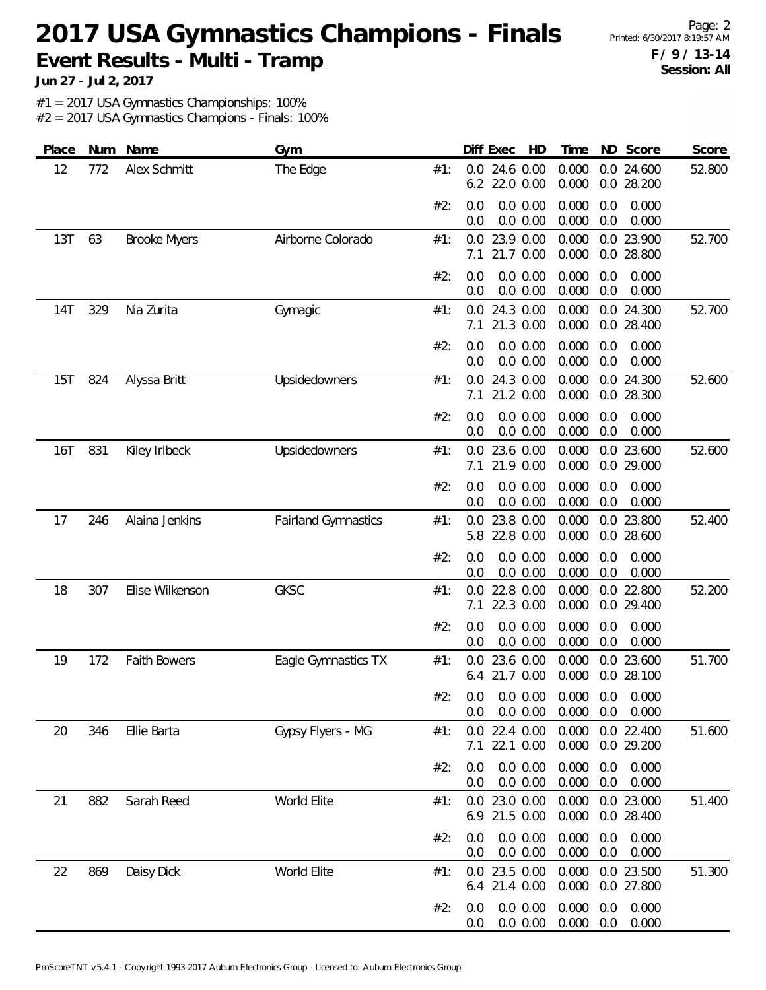Page: 2 **F / 9 / 13-14 Session: All**

**Jun 27 - Jul 2, 2017**

#1 = 2017 USA Gymnastics Championships: 100%

| Place      | Num | Name                | Gym                        |     | Diff Exec  | HD                                            | Time           |            | ND Score                 | Score  |
|------------|-----|---------------------|----------------------------|-----|------------|-----------------------------------------------|----------------|------------|--------------------------|--------|
| 12         | 772 | Alex Schmitt        | The Edge                   | #1: | 0.0<br>6.2 | 24.6 0.00<br>22.0 0.00                        | 0.000<br>0.000 |            | 0.0 24.600<br>0.0 28.200 | 52.800 |
|            |     |                     |                            | #2: | 0.0<br>0.0 | 0.0 0.00<br>0.0 0.00                          | 0.000<br>0.000 | 0.0<br>0.0 | 0.000<br>0.000           |        |
| 13T        | 63  | <b>Brooke Myers</b> | Airborne Colorado          | #1: | 0.0<br>7.1 | 23.9 0.00<br>21.7 0.00                        | 0.000<br>0.000 |            | 0.0 23.900<br>0.0 28.800 | 52.700 |
|            |     |                     |                            | #2: | 0.0<br>0.0 | 0.0 0.00<br>0.0 0.00                          | 0.000<br>0.000 | 0.0<br>0.0 | 0.000<br>0.000           |        |
| 14T        | 329 | Nia Zurita          | Gymagic                    | #1: | 0.0<br>7.1 | 24.3 0.00<br>21.3 0.00                        | 0.000<br>0.000 | 0.0        | 0.0 24.300<br>28.400     | 52.700 |
|            |     |                     |                            | #2: | 0.0<br>0.0 | 0.0 0.00<br>0.0 0.00                          | 0.000<br>0.000 | 0.0<br>0.0 | 0.000<br>0.000           |        |
| 15T        | 824 | Alyssa Britt        | Upsidedowners              | #1: | 0.0<br>7.1 | 24.3 0.00<br>21.2 0.00                        | 0.000<br>0.000 |            | 0.0 24.300<br>0.0 28.300 | 52.600 |
|            |     |                     |                            | #2: | 0.0<br>0.0 | 0.0 0.00<br>0.0 0.00                          | 0.000<br>0.000 | 0.0<br>0.0 | 0.000<br>0.000           |        |
| <b>16T</b> | 831 | Kiley Irlbeck       | Upsidedowners              | #1: | 0.0<br>7.1 | 23.6 0.00<br>21.9 0.00                        | 0.000<br>0.000 |            | 0.0 23.600<br>0.0 29.000 | 52.600 |
|            |     |                     |                            | #2: | 0.0<br>0.0 | 0.0 0.00<br>0.0 0.00                          | 0.000<br>0.000 | 0.0<br>0.0 | 0.000<br>0.000           |        |
| 17         | 246 | Alaina Jenkins      | <b>Fairland Gymnastics</b> | #1: | 0.0<br>5.8 | 23.8 0.00<br>22.8 0.00                        | 0.000<br>0.000 |            | 0.0 23.800<br>0.0 28.600 | 52.400 |
|            |     |                     |                            | #2: | 0.0<br>0.0 | 0.0 0.00<br>0.0 0.00                          | 0.000<br>0.000 | 0.0<br>0.0 | 0.000<br>0.000           |        |
| 18         | 307 | Elise Wilkenson     | <b>GKSC</b>                | #1: | 0.0<br>7.1 | 22.8 0.00<br>22.3 0.00                        | 0.000<br>0.000 |            | 0.0 22.800<br>0.0 29.400 | 52.200 |
|            |     |                     |                            | #2: | 0.0<br>0.0 | 0.0 0.00<br>0.0 0.00                          | 0.000<br>0.000 | 0.0<br>0.0 | 0.000<br>0.000           |        |
| 19         | 172 | <b>Faith Bowers</b> | Eagle Gymnastics TX        | #1: | 0.0<br>6.4 | 23.6 0.00<br>21.7 0.00                        | 0.000<br>0.000 |            | 0.0 23.600<br>0.0 28.100 | 51.700 |
|            |     |                     |                            | #2∙ | 0.0        | 0.0  0.0  0.00  0.000  0.0  0.000<br>0.0 0.00 | 0.000          | 0.0        | 0.000                    |        |
| 20         | 346 | Ellie Barta         | Gypsy Flyers - MG          | #1: | 0.0<br>7.1 | 22.4 0.00<br>22.1 0.00                        | 0.000<br>0.000 |            | 0.0 22.400<br>0.0 29.200 | 51.600 |
|            |     |                     |                            | #2: | 0.0<br>0.0 | 0.0 0.00<br>0.0 0.00                          | 0.000<br>0.000 | 0.0<br>0.0 | 0.000<br>0.000           |        |
| 21         | 882 | Sarah Reed          | World Elite                | #1: |            | 0.0 23.0 0.00<br>6.9 21.5 0.00                | 0.000<br>0.000 |            | 0.0 23.000<br>0.0 28.400 | 51.400 |
|            |     |                     |                            | #2: | 0.0<br>0.0 | 0.0 0.00<br>0.0 0.00                          | 0.000<br>0.000 | 0.0<br>0.0 | 0.000<br>0.000           |        |
| 22         | 869 | Daisy Dick          | World Elite                | #1: |            | 0.0 23.5 0.00<br>6.4 21.4 0.00                | 0.000<br>0.000 |            | 0.0 23.500<br>0.0 27.800 | 51.300 |
|            |     |                     |                            | #2: | 0.0<br>0.0 | 0.0 0.00<br>0.0 0.00                          | 0.000<br>0.000 | 0.0<br>0.0 | 0.000<br>0.000           |        |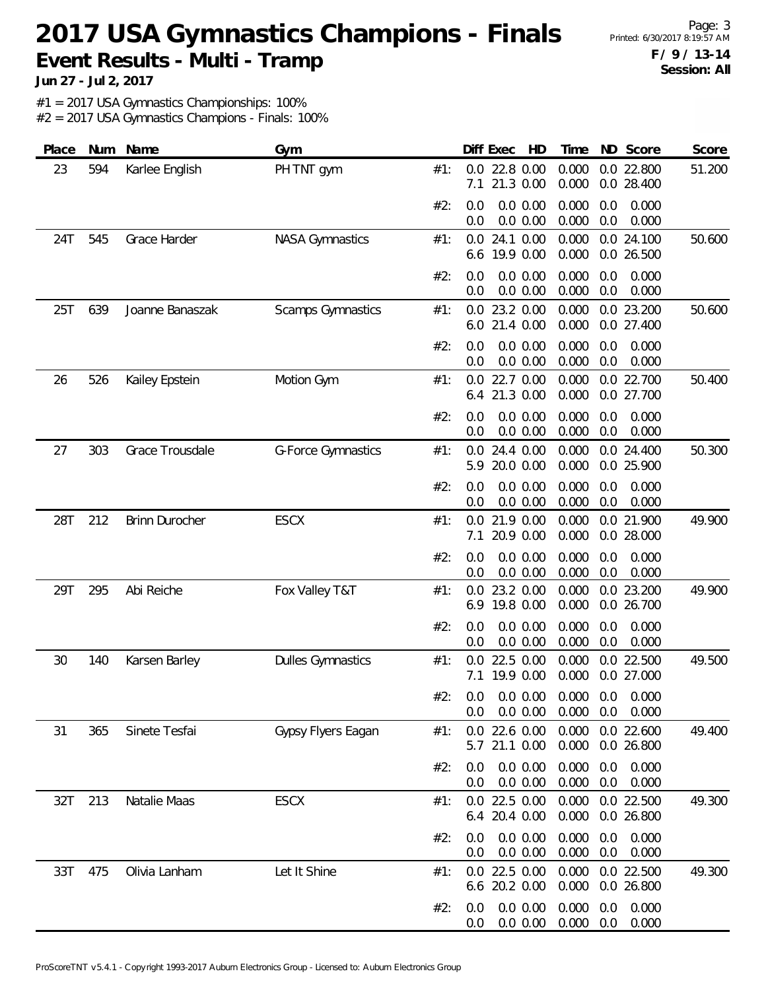Page: 3 **F / 9 / 13-14 Session: All**

**Jun 27 - Jul 2, 2017**

#1 = 2017 USA Gymnastics Championships: 100%

| Place | Num | Name            | Gym                      |     |            | Diff Exec<br>HD                                      | Time              |            | ND Score                 | Score  |
|-------|-----|-----------------|--------------------------|-----|------------|------------------------------------------------------|-------------------|------------|--------------------------|--------|
| 23    | 594 | Karlee English  | PH TNT gym               | #1: | 0.0<br>7.1 | 22.8 0.00<br>21.3 0.00                               | 0.000<br>0.000    |            | 0.0 22.800<br>0.0 28.400 | 51.200 |
|       |     |                 |                          | #2: | 0.0<br>0.0 | $0.0\ 0.00$<br>0.0 0.00                              | 0.000<br>0.000    | 0.0<br>0.0 | 0.000<br>0.000           |        |
| 24T   | 545 | Grace Harder    | <b>NASA Gymnastics</b>   | #1: | 0.0<br>6.6 | 24.1 0.00<br>19.9 0.00                               | 0.000<br>0.000    |            | 0.0 24.100<br>0.0 26.500 | 50.600 |
|       |     |                 |                          | #2: | 0.0<br>0.0 | 0.0 0.00<br>0.0 0.00                                 | 0.000<br>0.000    | 0.0<br>0.0 | 0.000<br>0.000           |        |
| 25T   | 639 | Joanne Banaszak | <b>Scamps Gymnastics</b> | #1: | 0.0<br>6.0 | 23.2 0.00<br>21.4 0.00                               | 0.000<br>0.000    |            | 0.0 23.200<br>0.0 27.400 | 50.600 |
|       |     |                 |                          | #2: | 0.0<br>0.0 | 0.0 0.00<br>0.0 0.00                                 | 0.000<br>0.000    | 0.0<br>0.0 | 0.000<br>0.000           |        |
| 26    | 526 | Kailey Epstein  | Motion Gym               | #1: | 0.0<br>6.4 | 22.7 0.00<br>21.3 0.00                               | 0.000<br>0.000    |            | 0.0 22.700<br>0.0 27.700 | 50.400 |
|       |     |                 |                          | #2: | 0.0<br>0.0 | 0.0 0.00<br>0.0 0.00                                 | 0.000<br>0.000    | 0.0<br>0.0 | 0.000<br>0.000           |        |
| 27    | 303 | Grace Trousdale | G-Force Gymnastics       | #1: | 0.0<br>5.9 | 24.4 0.00<br>20.0 0.00                               | 0.000<br>0.000    |            | 0.0 24.400<br>0.0 25.900 | 50.300 |
|       |     |                 |                          | #2: | 0.0<br>0.0 | 0.0 0.00<br>0.0 0.00                                 | 0.000<br>0.000    | 0.0<br>0.0 | 0.000<br>0.000           |        |
| 28T   | 212 | Brinn Durocher  | <b>ESCX</b>              | #1: | 0.0<br>7.1 | 21.9 0.00<br>20.9 0.00                               | 0.000<br>0.000    |            | 0.0 21.900<br>0.0 28.000 | 49.900 |
|       |     |                 |                          | #2: | 0.0<br>0.0 | 0.0 0.00<br>0.0 0.00                                 | 0.000<br>0.000    | 0.0<br>0.0 | 0.000<br>0.000           |        |
| 29T   | 295 | Abi Reiche      | Fox Valley T&T           | #1: | 0.0<br>6.9 | 23.2 0.00<br>19.8 0.00                               | 0.000<br>0.000    |            | 0.0 23.200<br>0.0 26.700 | 49.900 |
|       |     |                 |                          | #2: | 0.0<br>0.0 | 0.0 0.00<br>0.0 0.00                                 | 0.000<br>0.000    | 0.0<br>0.0 | 0.000<br>0.000           |        |
| 30    | 140 | Karsen Barley   | <b>Dulles Gymnastics</b> | #1: | 0.0<br>7.1 | 22.5 0.00<br>19.9 0.00                               | 0.000<br>0.000    |            | 0.0 22.500<br>0.0 27.000 | 49.500 |
|       |     |                 |                          | #2. | 0.0        | $0.0$ $0.0$ $0.00$ $0.000$ $0.0$ $0.000$<br>0.0 0.00 | $0.000 \quad 0.0$ |            | 0.000                    |        |
| 31    | 365 | Sinete Tesfai   | Gypsy Flyers Eagan       | #1: |            | 0.0 22.6 0.00<br>5.7 21.1 0.00                       | 0.000<br>0.000    |            | 0.0 22.600<br>0.0 26.800 | 49.400 |
|       |     |                 |                          | #2: | 0.0<br>0.0 | 0.0 0.00<br>0.0 0.00                                 | 0.000<br>0.000    | 0.0<br>0.0 | 0.000<br>0.000           |        |
| 32T   | 213 | Natalie Maas    | <b>ESCX</b>              | #1: |            | $0.0$ 22.5 $0.00$<br>6.4 20.4 0.00                   | 0.000<br>0.000    |            | 0.0 22.500<br>0.0 26.800 | 49.300 |
|       |     |                 |                          | #2: | 0.0<br>0.0 | 0.0 0.00<br>0.0 0.00                                 | 0.000<br>0.000    | 0.0<br>0.0 | 0.000<br>0.000           |        |
| 33T   | 475 | Olivia Lanham   | Let It Shine             | #1: |            | $0.0$ 22.5 $0.00$<br>6.6 20.2 0.00                   | 0.000<br>0.000    |            | 0.0 22.500<br>0.0 26.800 | 49.300 |
|       |     |                 |                          | #2: | 0.0<br>0.0 | 0.0 0.00<br>0.0 0.00                                 | 0.000<br>0.000    | 0.0<br>0.0 | 0.000<br>0.000           |        |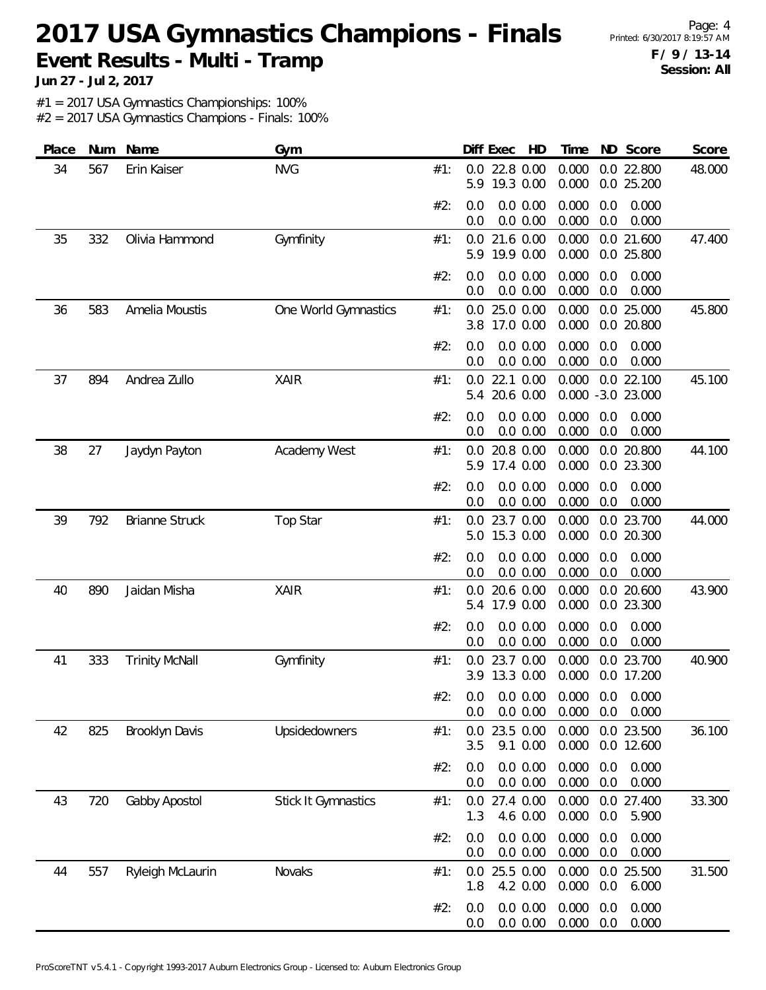Page: 4 **F / 9 / 13-14 Session: All**

**Jun 27 - Jul 2, 2017**

#1 = 2017 USA Gymnastics Championships: 100%

| Place | Num | Name                  | Gym                        |     | Diff Exec<br>HD                         | Time<br>ND Score                                        | Score  |
|-------|-----|-----------------------|----------------------------|-----|-----------------------------------------|---------------------------------------------------------|--------|
| 34    | 567 | Erin Kaiser           | <b>NVG</b>                 | #1: | 22.8 0.00<br>0.0<br>19.3 0.00<br>5.9    | 0.0 22.800<br>0.000<br>0.000<br>0.0 25.200              | 48.000 |
|       |     |                       |                            | #2: | 0.0 0.00<br>0.0<br>0.0 0.00<br>0.0      | 0.000<br>0.0<br>0.000<br>0.000<br>0.0<br>0.000          |        |
| 35    | 332 | Olivia Hammond        | Gymfinity                  | #1: | 21.6 0.00<br>0.0<br>19.9 0.00<br>5.9    | 0.000<br>0.0 21.600<br>0.000<br>0.0 25.800              | 47.400 |
|       |     |                       |                            | #2: | 0.0 0.00<br>0.0<br>0.0<br>0.0 0.00      | 0.000<br>0.0<br>0.000<br>0.000<br>0.0<br>0.000          |        |
| 36    | 583 | Amelia Moustis        | One World Gymnastics       | #1: | 25.0 0.00<br>0.0<br>17.0 0.00<br>3.8    | 0.000<br>0.0 25.000<br>0.000<br>0.0 20.800              | 45.800 |
|       |     |                       |                            | #2: | 0.0 0.00<br>0.0<br>0.0 0.00<br>0.0      | 0.000<br>0.000<br>0.0<br>0.0<br>0.000<br>0.000          |        |
| 37    | 894 | Andrea Zullo          | <b>XAIR</b>                | #1: | 22.1 0.00<br>0.0<br>20.6 0.00<br>5.4    | 0.000<br>0.0 22.100<br>0.000 -3.0 23.000                | 45.100 |
|       |     |                       |                            | #2: | 0.0 0.00<br>0.0<br>0.0<br>0.0 0.00      | 0.000<br>0.0<br>0.000<br>0.000<br>0.0<br>0.000          |        |
| 38    | 27  | Jaydyn Payton         | Academy West               | #1: | 20.8 0.00<br>0.0<br>17.4 0.00<br>5.9    | 0.000<br>0.0 20.800<br>0.000<br>0.0 23.300              | 44.100 |
|       |     |                       |                            | #2: | 0.0 0.00<br>0.0<br>0.0 0.00<br>0.0      | 0.000<br>0.0<br>0.000<br>0.000<br>0.0<br>0.000          |        |
| 39    | 792 | <b>Brianne Struck</b> | <b>Top Star</b>            | #1: | 23.7 0.00<br>0.0<br>15.3 0.00<br>5.0    | 0.000<br>0.0 23.700<br>0.000<br>0.0 20.300              | 44.000 |
|       |     |                       |                            | #2: | 0.0 0.00<br>0.0<br>0.0 0.00<br>0.0      | 0.000<br>0.0<br>0.000<br>0.000<br>0.0<br>0.000          |        |
| 40    | 890 | Jaidan Misha          | <b>XAIR</b>                | #1: | 20.6 0.00<br>0.0<br>17.9 0.00<br>5.4    | 0.000<br>0.0 20.600<br>0.000<br>0.0 23.300              | 43.900 |
|       |     |                       |                            | #2: | 0.0 0.00<br>0.0<br>0.0 0.00<br>0.0      | 0.000<br>0.0<br>0.000<br>0.000<br>0.0<br>0.000          |        |
| 41    | 333 | <b>Trinity McNall</b> | Gymfinity                  | #1: | 23.7 0.00<br>0.0<br>3.9 13.3 0.00       | 0.000<br>0.0 23.700<br>0.000<br>0.0 17.200              | 40.900 |
|       |     |                       |                            | #2: | 0.0 0.00<br>0.0                         | $0.0$ 0.0 0.00 0.000 0.0 0.000<br>0.000<br>0.0<br>0.000 |        |
| 42    | 825 | Brooklyn Davis        | Upsidedowners              | #1: | 23.5 0.00<br>$0.0\,$<br>9.1 0.00<br>3.5 | 0.0 23.500<br>0.000<br>0.000<br>0.0 12.600              | 36.100 |
|       |     |                       |                            | #2: | 0.0<br>0.0 0.00<br>0.0 0.00<br>0.0      | 0.000<br>0.0<br>0.000<br>0.000<br>0.0<br>0.000          |        |
| 43    | 720 | Gabby Apostol         | <b>Stick It Gymnastics</b> | #1: | 0.0 27.4 0.00<br>4.6 0.00<br>1.3        | 0.000<br>0.0 27.400<br>0.000<br>0.0<br>5.900            | 33.300 |
|       |     |                       |                            | #2: | 0.0 0.00<br>0.0<br>0.0 0.00<br>0.0      | 0.000<br>0.000<br>0.0<br>0.000<br>0.000<br>0.0          |        |
| 44    | 557 | Ryleigh McLaurin      | Novaks                     | #1: | 25.5 0.00<br>0.0<br>1.8<br>4.2 0.00     | 0.000<br>0.0 25.500<br>0.000<br>0.0<br>6.000            | 31.500 |
|       |     |                       |                            | #2: | 0.0 0.00<br>0.0<br>0.0 0.00<br>0.0      | 0.000<br>0.000<br>0.0<br>0.000<br>0.000<br>0.0          |        |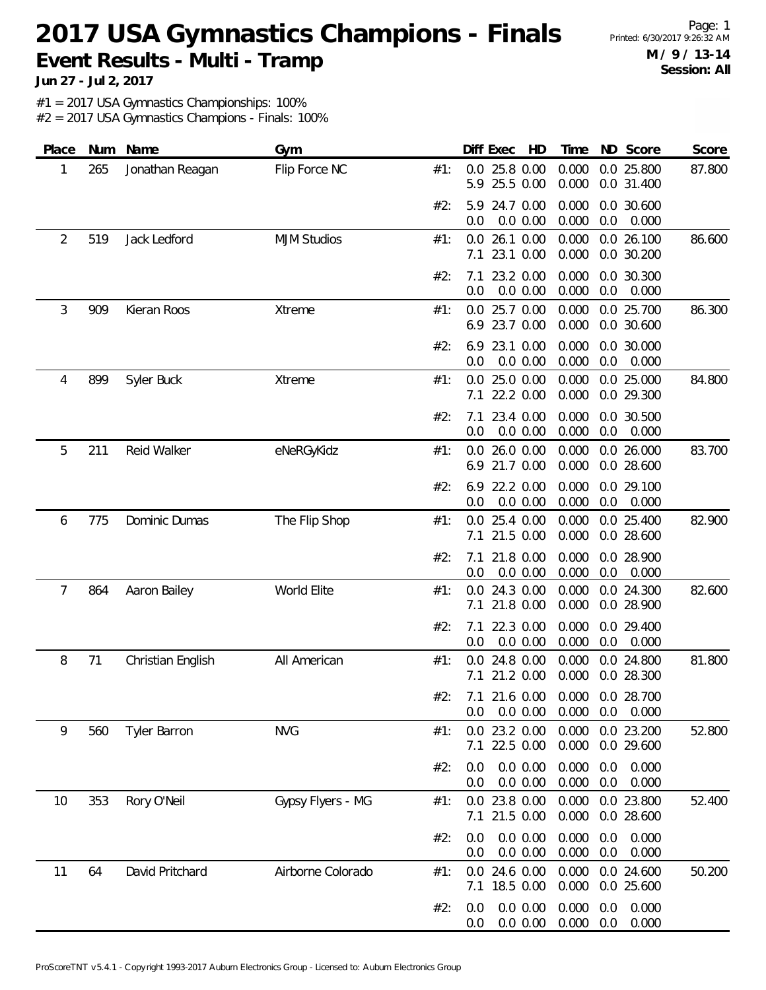Page: 1 **M / 9 / 13-14 Session: All**

**Jun 27 - Jul 2, 2017**

#1 = 2017 USA Gymnastics Championships: 100%

| Place | Num | Name                | Gym                |     | Diff Exec<br>HD                                   | Time                         | ND Score                 | Score  |
|-------|-----|---------------------|--------------------|-----|---------------------------------------------------|------------------------------|--------------------------|--------|
| 1     | 265 | Jonathan Reagan     | Flip Force NC      | #1: | 25.8 0.00<br>0.0<br>25.5 0.00<br>5.9              | 0.000<br>0.000               | 0.0 25.800<br>0.0 31.400 | 87.800 |
|       |     |                     |                    | #2: | 24.7 0.00<br>5.9<br>0.0 0.00<br>0.0               | 0.000<br>0.000<br>0.0        | 0.0 30.600<br>0.000      |        |
| 2     | 519 | Jack Ledford        | <b>MJM Studios</b> | #1: | 26.1 0.00<br>0.0<br>23.1 0.00<br>7.1              | 0.000<br>0.000               | 0.0 26.100<br>0.0 30.200 | 86.600 |
|       |     |                     |                    | #2: | 23.2 0.00<br>7.1<br>0.0 0.00<br>0.0               | 0.000<br>0.000<br>0.0        | 0.0 30.300<br>0.000      |        |
| 3     | 909 | Kieran Roos         | Xtreme             | #1: | 25.7 0.00<br>0.0<br>23.7 0.00<br>6.9              | 0.000<br>0.000               | 0.0 25.700<br>0.0 30.600 | 86.300 |
|       |     |                     |                    | #2: | 23.1 0.00<br>6.9<br>0.0<br>0.0 0.00               | 0.000<br>0.000<br>0.0        | 0.0 30.000<br>0.000      |        |
| 4     | 899 | Syler Buck          | Xtreme             | #1: | 25.0 0.00<br>0.0<br>22.2 0.00<br>7.1              | 0.000<br>0.000               | 0.0 25.000<br>0.0 29.300 | 84.800 |
|       |     |                     |                    | #2: | 23.4 0.00<br>7.1<br>0.0 0.00<br>0.0               | 0.000<br>0.000<br>0.0        | 0.0 30.500<br>0.000      |        |
| 5     | 211 | Reid Walker         | eNeRGyKidz         | #1: | 26.0 0.00<br>0.0<br>21.7 0.00<br>6.9              | 0.000<br>0.000               | 0.0 26.000<br>0.0 28.600 | 83.700 |
|       |     |                     |                    | #2: | 22.2 0.00<br>6.9<br>0.0 0.00<br>0.0               | 0.000<br>0.000<br>0.0        | 0.0 29.100<br>0.000      |        |
| 6     | 775 | Dominic Dumas       | The Flip Shop      | #1: | 25.4 0.00<br>0.0<br>21.5 0.00<br>7.1              | 0.000<br>0.000               | 0.0 25.400<br>0.0 28.600 | 82.900 |
|       |     |                     |                    | #2: | 21.8 0.00<br>7.1<br>0.0 0.00<br>0.0               | 0.000<br>0.000<br>0.0        | 0.0 28.900<br>0.000      |        |
| 7     | 864 | Aaron Bailey        | World Elite        | #1: | 24.3 0.00<br>0.0<br>21.8 0.00<br>7.1              | 0.000<br>0.000               | 0.0 24.300<br>0.0 28.900 | 82.600 |
|       |     |                     |                    | #2: | 22.3 0.00<br>7.1<br>0.0 0.00<br>0.0               | 0.000<br>0.000<br>0.0        | 0.0 29.400<br>0.000      |        |
| 8     | 71  | Christian English   | All American       | #1: | 24.8 0.00<br>0.0<br>21.2 0.00<br>7.1              | 0.000<br>0.000               | 0.0 24.800<br>0.0 28.300 | 81.800 |
|       |     |                     |                    | #2∙ | 7.1 21.6 0.00 0.000 0.0 28.700<br>0.0 0.00<br>0.0 | 0.000                        | $0.0\quad 0.000$         |        |
| 9     | 560 | <b>Tyler Barron</b> | <b>NVG</b>         | #1: | 0.0 23.2 0.00<br>22.5 0.00<br>7.1                 | 0.000<br>0.000               | 0.0 23.200<br>0.0 29.600 | 52.800 |
|       |     |                     |                    | #2: | 0.0 0.00<br>0.0<br>0.0 0.00<br>0.0                | 0.000<br>0.0<br>0.000<br>0.0 | 0.000<br>0.000           |        |
| 10    | 353 | Rory O'Neil         | Gypsy Flyers - MG  | #1: | 0.0 23.8 0.00<br>7.1 21.5 0.00                    | 0.000<br>0.000               | 0.0 23.800<br>0.0 28.600 | 52.400 |
|       |     |                     |                    | #2: | 0.0 0.00<br>0.0<br>0.0 0.00<br>0.0                | 0.000<br>0.0<br>0.000<br>0.0 | 0.000<br>0.000           |        |
| 11    | 64  | David Pritchard     | Airborne Colorado  | #1: | 24.6 0.00<br>0.0<br>7.1 18.5 0.00                 | 0.000<br>0.000               | 0.0 24.600<br>0.0 25.600 | 50.200 |
|       |     |                     |                    | #2: | 0.0 0.00<br>0.0<br>0.0<br>0.0 0.00                | 0.000<br>0.0<br>0.000<br>0.0 | 0.000<br>0.000           |        |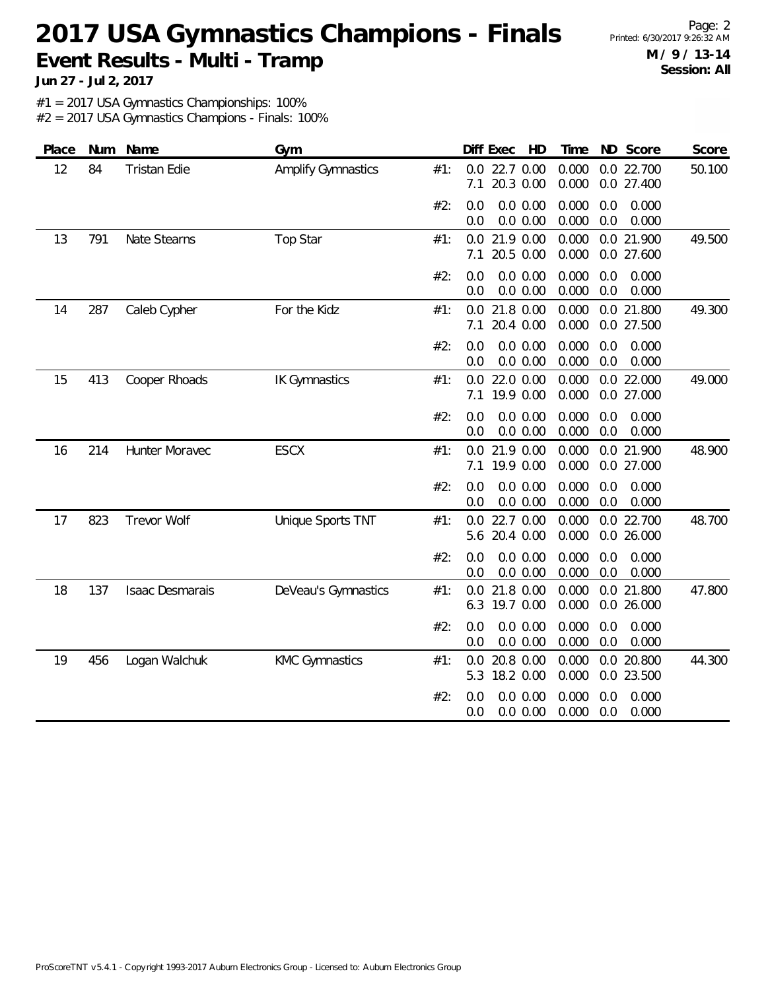Page: 2 **M / 9 / 13-14 Session: All**

**Jun 27 - Jul 2, 2017**

#1 = 2017 USA Gymnastics Championships: 100%

| Place | Num | Name                | Gym                   |     | Diff Exec<br>HD                          | ND Score<br>Time                               | Score  |
|-------|-----|---------------------|-----------------------|-----|------------------------------------------|------------------------------------------------|--------|
| 12    | 84  | <b>Tristan Edie</b> | Amplify Gymnastics    | #1: | 22.7 0.00<br>0.0<br>20.3 0.00<br>7.1     | 0.000<br>0.0 22.700<br>0.000<br>0.0 27.400     | 50.100 |
|       |     |                     |                       | #2: | $0.0\ 0.00$<br>0.0<br>$0.0\ 0.00$<br>0.0 | 0.000<br>0.0<br>0.000<br>0.000<br>0.0<br>0.000 |        |
| 13    | 791 | Nate Stearns        | <b>Top Star</b>       | #1: | 21.9 0.00<br>0.0<br>20.5 0.00<br>7.1     | 0.000<br>0.0 21.900<br>0.000<br>0.0 27.600     | 49.500 |
|       |     |                     |                       | #2: | $0.0\ 0.00$<br>0.0<br>0.0<br>$0.0\ 0.00$ | 0.000<br>0.0<br>0.000<br>0.0<br>0.000<br>0.000 |        |
| 14    | 287 | Caleb Cypher        | For the Kidz          | #1: | 21.8 0.00<br>0.0<br>20.4 0.00<br>7.1     | 0.000<br>0.0 21.800<br>0.000<br>0.0 27.500     | 49.300 |
|       |     |                     |                       | #2: | 0.0 0.00<br>0.0<br>0.0<br>0.0 0.00       | 0.000<br>0.0<br>0.000<br>0.000<br>0.0<br>0.000 |        |
| 15    | 413 | Cooper Rhoads       | <b>IK Gymnastics</b>  | #1: | 22.0 0.00<br>0.0<br>19.9 0.00<br>7.1     | 0.000<br>0.0 22.000<br>0.000<br>0.0 27.000     | 49.000 |
|       |     |                     |                       | #2: | $0.0\ 0.00$<br>0.0<br>0.0 0.00<br>0.0    | 0.000<br>0.0<br>0.000<br>0.000<br>0.0<br>0.000 |        |
| 16    | 214 | Hunter Moravec      | <b>ESCX</b>           | #1: | 21.9 0.00<br>0.0<br>19.9 0.00<br>7.1     | 0.000<br>0.0 21.900<br>0.000<br>0.0 27.000     | 48.900 |
|       |     |                     |                       | #2: | 0.0 0.00<br>0.0<br>0.0<br>0.0 0.00       | 0.000<br>0.0<br>0.000<br>0.000<br>0.000<br>0.0 |        |
| 17    | 823 | <b>Trevor Wolf</b>  | Unique Sports TNT     | #1: | 22.7 0.00<br>0.0<br>20.4 0.00<br>5.6     | 0.000<br>0.0 22.700<br>0.000<br>0.0 26.000     | 48.700 |
|       |     |                     |                       | #2: | 0.0 0.00<br>0.0<br>0.0 0.00<br>0.0       | 0.000<br>0.000<br>0.0<br>0.000<br>0.0<br>0.000 |        |
| 18    | 137 | Isaac Desmarais     | DeVeau's Gymnastics   | #1: | 21.8 0.00<br>0.0<br>19.7 0.00<br>6.3     | 0.000<br>0.0 21.800<br>0.000<br>0.0 26.000     | 47.800 |
|       |     |                     |                       | #2: | $0.0\ 0.00$<br>0.0<br>0.0 0.00<br>0.0    | 0.000<br>0.000<br>0.0<br>0.000<br>0.0<br>0.000 |        |
| 19    | 456 | Logan Walchuk       | <b>KMC Gymnastics</b> | #1: | 20.8 0.00<br>0.0<br>18.2 0.00<br>5.3     | 0.000<br>0.0 20.800<br>0.000<br>0.0 23.500     | 44.300 |
|       |     |                     |                       | #2: | 0.0 0.00<br>0.0<br>0.0 0.00<br>0.0       | 0.000<br>0.000<br>0.0<br>0.000<br>0.0<br>0.000 |        |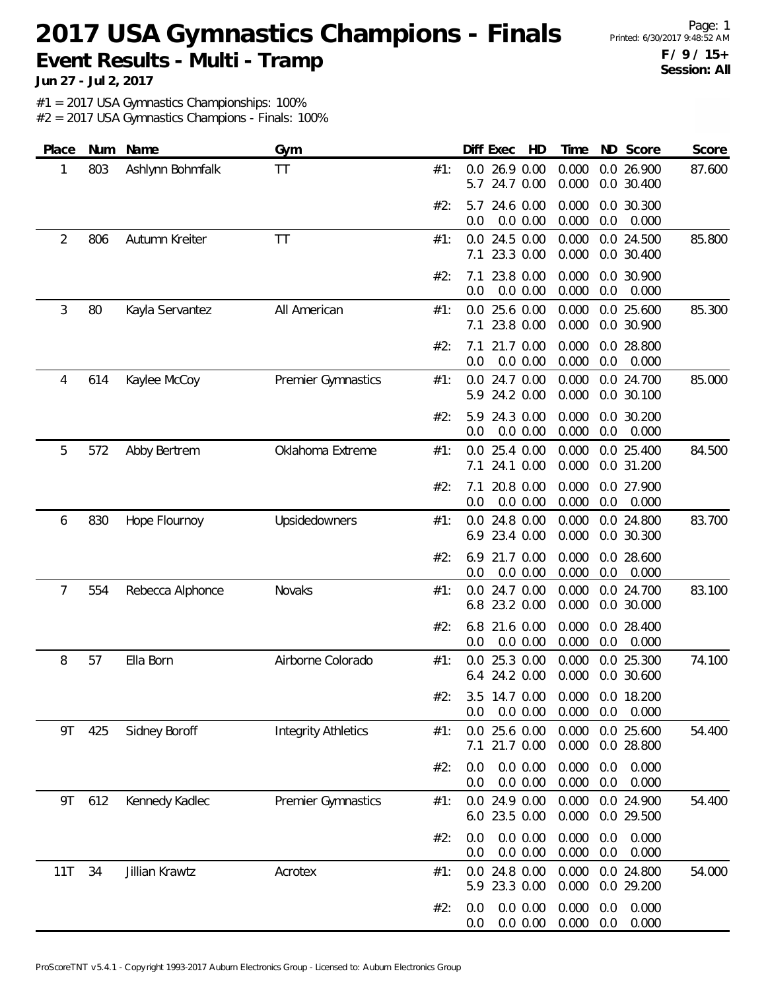Page: 1 **F / 9 / 15+ Session: All**

**Jun 27 - Jul 2, 2017**

#1 = 2017 USA Gymnastics Championships: 100%

| Place | Num | Name             | Gym                        |     | Diff Exec<br>HD                                | Time<br>ND Score                                        | Score  |
|-------|-----|------------------|----------------------------|-----|------------------------------------------------|---------------------------------------------------------|--------|
| 1     | 803 | Ashlynn Bohmfalk | ТT                         | #1: | 26.9 0.00<br>0.0<br>24.7 0.00<br>5.7           | 0.000<br>0.0 26.900<br>0.000<br>0.0 30.400              | 87.600 |
|       |     |                  |                            | #2: | 24.6 0.00<br>5.7<br>$0.0\ 0.00$<br>0.0         | 0.0 30.300<br>0.000<br>0.000<br>0.0<br>0.000            |        |
| 2     | 806 | Autumn Kreiter   | <b>TT</b>                  | #1: | 24.5 0.00<br>0.0<br>23.3 0.00<br>7.1           | 0.000<br>0.0 24.500<br>0.000<br>0.0 30.400              | 85.800 |
|       |     |                  |                            | #2: | 23.8 0.00<br>7.1<br>0.0<br>0.0 0.00            | 0.000<br>0.0 30.900<br>0.000<br>0.0<br>0.000            |        |
| 3     | 80  | Kayla Servantez  | All American               | #1: | 25.6 0.00<br>0.0<br>23.8 0.00<br>7.1           | 0.000<br>0.0 25.600<br>0.000<br>0.0 30.900              | 85.300 |
|       |     |                  |                            | #2: | 21.7 0.00<br>7.1<br>0.0<br>0.0 0.00            | 0.000<br>0.0 28.800<br>0.000<br>0.0<br>0.000            |        |
| 4     | 614 | Kaylee McCoy     | Premier Gymnastics         | #1: | 24.7 0.00<br>0.0<br>24.2 0.00<br>5.9           | 0.000<br>0.0 24.700<br>0.000<br>0.0 30.100              | 85.000 |
|       |     |                  |                            | #2: | 24.3 0.00<br>5.9<br>0.0 0.00<br>0.0            | 0.000<br>0.0 30.200<br>0.000<br>0.0<br>0.000            |        |
| 5     | 572 | Abby Bertrem     | Oklahoma Extreme           | #1: | 25.4 0.00<br>$0.0^{\circ}$<br>24.1 0.00<br>7.1 | 0.0 25.400<br>0.000<br>0.000<br>0.0 31.200              | 84.500 |
|       |     |                  |                            | #2: | 20.8 0.00<br>7.1<br>0.0 0.00<br>0.0            | 0.000<br>0.0 27.900<br>0.000<br>0.0<br>0.000            |        |
| 6     | 830 | Hope Flournoy    | Upsidedowners              | #1: | 24.8 0.00<br>0.0<br>23.4 0.00<br>6.9           | 0.000<br>0.0 24.800<br>0.000<br>0.0 30.300              | 83.700 |
|       |     |                  |                            | #2: | 21.7 0.00<br>6.9<br>0.0 0.00<br>0.0            | 0.000<br>0.0 28.600<br>0.000<br>0.0<br>0.000            |        |
| 7     | 554 | Rebecca Alphonce | Novaks                     | #1: | 24.7 0.00<br>0.0<br>23.2 0.00<br>6.8           | 0.000<br>0.0 24.700<br>0.000<br>0.0 30.000              | 83.100 |
|       |     |                  |                            | #2: | 6.8<br>21.6 0.00<br>0.0 0.00<br>0.0            | 0.000<br>0.0 28.400<br>0.000<br>0.0<br>0.000            |        |
| 8     | 57  | Ella Born        | Airborne Colorado          | #1: | 25.3 0.00<br>0.0<br>24.2 0.00<br>6.4           | 0.0 25.300<br>0.000<br>0.000<br>0.0 30.600              | 74.100 |
|       |     |                  |                            | #2۰ | 0.0 0.00<br>0.0                                | 3.5 14.7 0.00 0.000 0.0 18.200<br>0.000<br>0.0<br>0.000 |        |
| 9T    | 425 | Sidney Boroff    | <b>Integrity Athletics</b> | #1: | 25.6 0.00<br>0.0<br>21.7 0.00<br>7.1           | 0.0 25.600<br>0.000<br>0.000<br>0.0 28.800              | 54.400 |
|       |     |                  |                            | #2: | 0.0 0.00<br>0.0<br>0.0 0.00<br>0.0             | 0.000<br>0.0<br>0.000<br>0.000<br>0.0<br>0.000          |        |
| 9T    | 612 | Kennedy Kadlec   | Premier Gymnastics         | #1: | 0.0 24.9 0.00<br>6.0 23.5 0.00                 | 0.000<br>0.0 24.900<br>0.000<br>0.0 29.500              | 54.400 |
|       |     |                  |                            | #2: | 0.0 0.00<br>0.0<br>0.0 0.00<br>0.0             | 0.000<br>0.0<br>0.000<br>0.000<br>0.000<br>0.0          |        |
| 11T   | 34  | Jillian Krawtz   | Acrotex                    | #1: | 24.8 0.00<br>0.0<br>5.9 23.3 0.00              | 0.000<br>0.0 24.800<br>0.000<br>0.0 29.200              | 54.000 |
|       |     |                  |                            | #2: | 0.0 0.00<br>0.0<br>0.0 0.00<br>0.0             | 0.000<br>0.000<br>0.0<br>0.000<br>0.0<br>0.000          |        |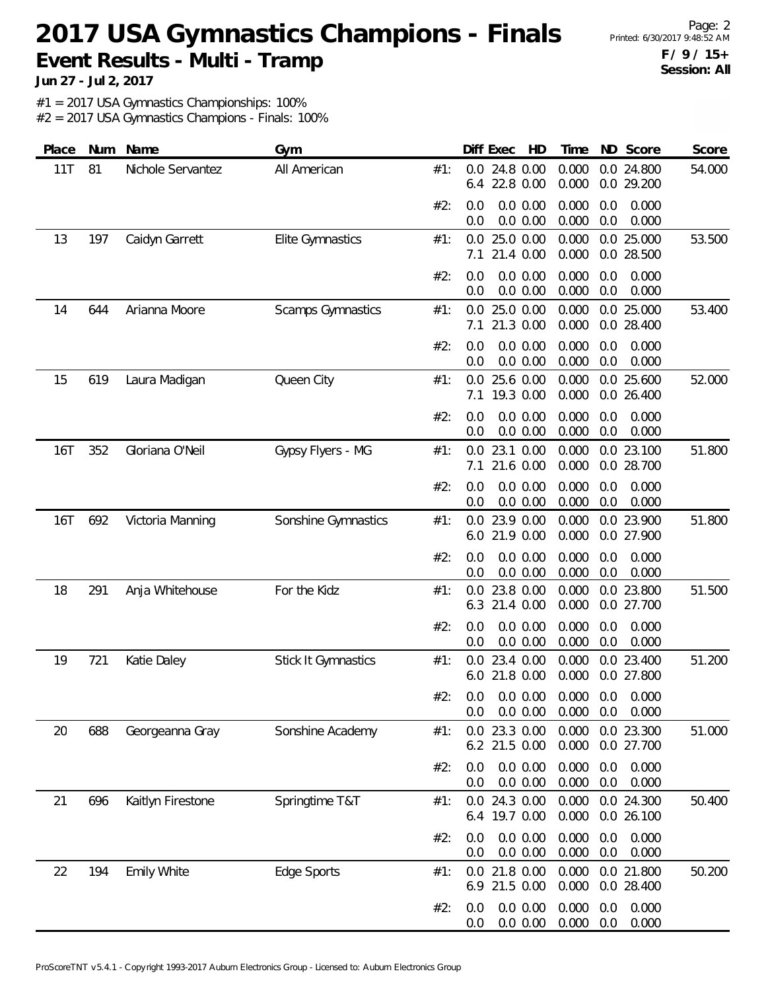Page: 2 **F / 9 / 15+ Session: All**

**Jun 27 - Jul 2, 2017**

#1 = 2017 USA Gymnastics Championships: 100%

| Place | Num | Name               | Gym                        |     |            | Diff Exec<br>HD                                      | Time           |            | ND Score                 | Score  |
|-------|-----|--------------------|----------------------------|-----|------------|------------------------------------------------------|----------------|------------|--------------------------|--------|
| 11T   | 81  | Nichole Servantez  | All American               | #1: | 0.0<br>6.4 | 24.8 0.00<br>22.8 0.00                               | 0.000<br>0.000 |            | 0.0 24.800<br>0.0 29.200 | 54.000 |
|       |     |                    |                            | #2: | 0.0<br>0.0 | 0.0 0.00<br>0.0 0.00                                 | 0.000<br>0.000 | 0.0<br>0.0 | 0.000<br>0.000           |        |
| 13    | 197 | Caidyn Garrett     | Elite Gymnastics           | #1: | 0.0<br>7.1 | 25.0 0.00<br>21.4 0.00                               | 0.000<br>0.000 |            | 0.0 25.000<br>0.0 28.500 | 53.500 |
|       |     |                    |                            | #2: | 0.0<br>0.0 | 0.0 0.00<br>0.0 0.00                                 | 0.000<br>0.000 | 0.0<br>0.0 | 0.000<br>0.000           |        |
| 14    | 644 | Arianna Moore      | <b>Scamps Gymnastics</b>   | #1: | 0.0<br>7.1 | 25.0 0.00<br>21.3 0.00                               | 0.000<br>0.000 | 0.0        | 0.0 25.000<br>28.400     | 53.400 |
|       |     |                    |                            | #2: | 0.0<br>0.0 | 0.0 0.00<br>0.0 0.00                                 | 0.000<br>0.000 | 0.0<br>0.0 | 0.000<br>0.000           |        |
| 15    | 619 | Laura Madigan      | Queen City                 | #1: | 0.0<br>7.1 | 25.6 0.00<br>19.3 0.00                               | 0.000<br>0.000 |            | 0.0 25.600<br>0.0 26.400 | 52.000 |
|       |     |                    |                            | #2: | 0.0<br>0.0 | 0.0 0.00<br>0.0 0.00                                 | 0.000<br>0.000 | 0.0<br>0.0 | 0.000<br>0.000           |        |
| 16T   | 352 | Gloriana O'Neil    | Gypsy Flyers - MG          | #1: | 0.0<br>7.1 | 23.1 0.00<br>21.6 0.00                               | 0.000<br>0.000 |            | 0.0 23.100<br>0.0 28.700 | 51.800 |
|       |     |                    |                            | #2: | 0.0<br>0.0 | 0.0 0.00<br>0.0 0.00                                 | 0.000<br>0.000 | 0.0<br>0.0 | 0.000<br>0.000           |        |
| 16T   | 692 | Victoria Manning   | Sonshine Gymnastics        | #1: | 0.0<br>6.0 | 23.9 0.00<br>21.9 0.00                               | 0.000<br>0.000 |            | 0.0 23.900<br>0.0 27.900 | 51.800 |
|       |     |                    |                            | #2: | 0.0<br>0.0 | 0.0 0.00<br>0.0 0.00                                 | 0.000<br>0.000 | 0.0<br>0.0 | 0.000<br>0.000           |        |
| 18    | 291 | Anja Whitehouse    | For the Kidz               | #1: | 0.0<br>6.3 | 23.8 0.00<br>21.4 0.00                               | 0.000<br>0.000 |            | 0.0 23.800<br>0.0 27.700 | 51.500 |
|       |     |                    |                            | #2: | 0.0<br>0.0 | 0.0 0.00<br>0.0 0.00                                 | 0.000<br>0.000 | 0.0<br>0.0 | 0.000<br>0.000           |        |
| 19    | 721 | Katie Daley        | <b>Stick It Gymnastics</b> | #1: | 0.0<br>6.0 | 23.4 0.00<br>21.8 0.00                               | 0.000<br>0.000 |            | 0.0 23.400<br>0.0 27.800 | 51.200 |
|       |     |                    |                            | #2∙ | 0.0        | $0.0$ $0.0$ $0.00$ $0.000$ $0.0$ $0.000$<br>0.0 0.00 | 0.000          | 0.0        | 0.000                    |        |
| 20    | 688 | Georgeanna Gray    | Sonshine Academy           | #1: | 0.0        | 23.3 0.00<br>6.2 21.5 0.00                           | 0.000<br>0.000 |            | 0.0 23.300<br>0.0 27.700 | 51.000 |
|       |     |                    |                            | #2: | 0.0<br>0.0 | 0.0 0.00<br>0.0 0.00                                 | 0.000<br>0.000 | 0.0<br>0.0 | 0.000<br>0.000           |        |
| 21    | 696 | Kaitlyn Firestone  | Springtime T&T             | #1: | 0.0        | 24.3 0.00<br>6.4 19.7 0.00                           | 0.000<br>0.000 |            | 0.0 24.300<br>0.0 26.100 | 50.400 |
|       |     |                    |                            | #2: | 0.0<br>0.0 | 0.0 0.00<br>0.0 0.00                                 | 0.000<br>0.000 | 0.0<br>0.0 | 0.000<br>0.000           |        |
| 22    | 194 | <b>Emily White</b> | Edge Sports                | #1: | 0.0        | 21.8 0.00<br>6.9 21.5 0.00                           | 0.000<br>0.000 |            | 0.0 21.800<br>0.0 28.400 | 50.200 |
|       |     |                    |                            | #2: | 0.0<br>0.0 | 0.0 0.00<br>0.0 0.00                                 | 0.000<br>0.000 | 0.0<br>0.0 | 0.000<br>0.000           |        |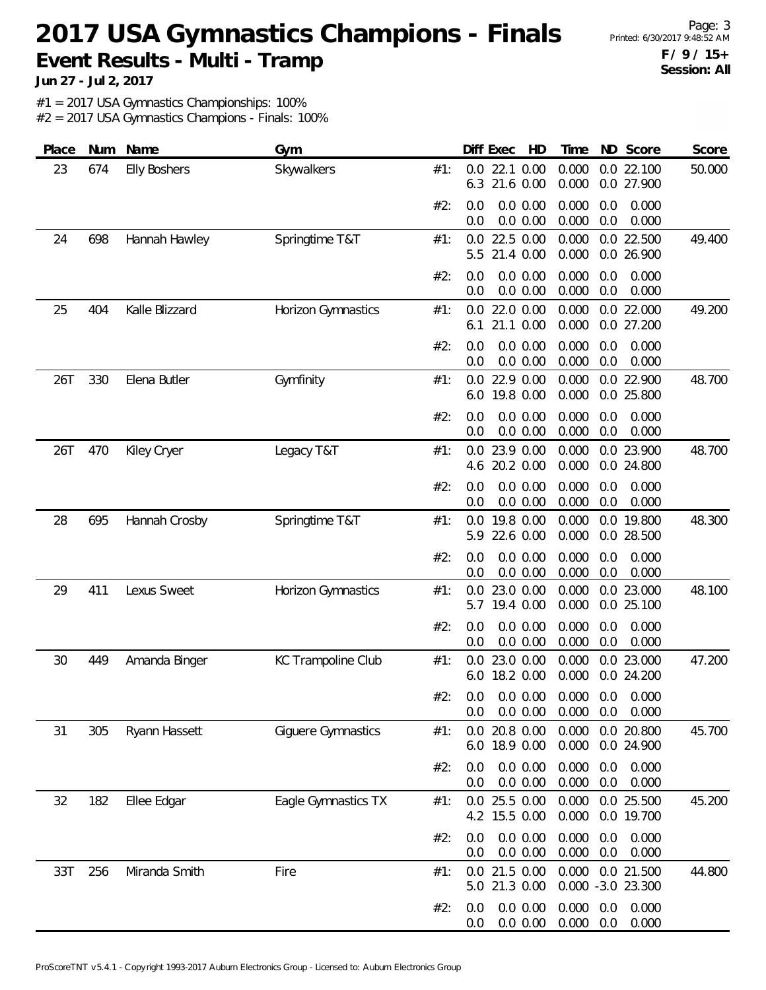Page: 3 **F / 9 / 15+ Session: All**

**Jun 27 - Jul 2, 2017**

#1 = 2017 USA Gymnastics Championships: 100%

| Place | Num | Name                | Gym                 |     | Diff Exec<br>HD                      | ND Score<br>Time                                      | Score  |
|-------|-----|---------------------|---------------------|-----|--------------------------------------|-------------------------------------------------------|--------|
| 23    | 674 | <b>Elly Boshers</b> | Skywalkers          | #1: | 22.1 0.00<br>0.0<br>21.6 0.00<br>6.3 | 0.000<br>$0.0$ 22.100<br>0.000<br>0.0 27.900          | 50.000 |
|       |     |                     |                     | #2: | 0.0 0.00<br>0.0<br>0.0 0.00<br>0.0   | 0.000<br>0.0<br>0.000<br>0.000<br>0.0<br>0.000        |        |
| 24    | 698 | Hannah Hawley       | Springtime T&T      | #1: | 22.5 0.00<br>0.0<br>21.4 0.00<br>5.5 | 0.0 22.500<br>0.000<br>0.000<br>0.0 26.900            | 49.400 |
|       |     |                     |                     | #2: | 0.0 0.00<br>0.0<br>0.0 0.00<br>0.0   | 0.000<br>0.000<br>0.0<br>0.000<br>0.0<br>0.000        |        |
| 25    | 404 | Kalle Blizzard      | Horizon Gymnastics  | #1: | 22.0 0.00<br>0.0<br>21.1 0.00<br>6.1 | 0.000<br>0.0 22.000<br>0.000<br>0.0 27.200            | 49.200 |
|       |     |                     |                     | #2: | 0.0 0.00<br>0.0<br>0.0 0.00<br>0.0   | 0.000<br>0.000<br>0.0<br>0.000<br>0.0<br>0.000        |        |
| 26T   | 330 | Elena Butler        | Gymfinity           | #1: | 22.9 0.00<br>0.0<br>19.8 0.00<br>6.0 | 0.000<br>0.0 22.900<br>0.000<br>0.0 25.800            | 48.700 |
|       |     |                     |                     | #2: | 0.0 0.00<br>0.0<br>0.0 0.00<br>0.0   | 0.000<br>0.000<br>0.0<br>0.000<br>0.0<br>0.000        |        |
| 26T   | 470 | Kiley Cryer         | Legacy T&T          | #1: | 23.9 0.00<br>0.0<br>20.2 0.00<br>4.6 | 0.000<br>0.0 23.900<br>0.000<br>0.0 24.800            | 48.700 |
|       |     |                     |                     | #2: | 0.0 0.00<br>0.0<br>0.0 0.00<br>0.0   | 0.000<br>0.000<br>0.0<br>0.000<br>0.0<br>0.000        |        |
| 28    | 695 | Hannah Crosby       | Springtime T&T      | #1: | 19.8 0.00<br>0.0<br>22.6 0.00<br>5.9 | 0.000<br>0.0 19.800<br>0.000<br>0.0 28.500            | 48.300 |
|       |     |                     |                     | #2: | 0.0 0.00<br>0.0<br>0.0 0.00<br>0.0   | 0.000<br>0.0<br>0.000<br>0.000<br>0.0<br>0.000        |        |
| 29    | 411 | Lexus Sweet         | Horizon Gymnastics  | #1: | 23.0 0.00<br>0.0<br>5.7<br>19.4 0.00 | 0.000<br>0.0 23.000<br>0.000<br>0.0 25.100            | 48.100 |
|       |     |                     |                     | #2: | 0.0 0.00<br>0.0<br>0.0 0.00<br>0.0   | 0.000<br>0.000<br>0.0<br>0.000<br>0.0<br>0.000        |        |
| 30    | 449 | Amanda Binger       | KC Trampoline Club  | #1: | 23.0 0.00<br>0.0<br>18.2 0.00<br>6.0 | 0.000<br>0.0 23.000<br>0.000<br>0.0 24.200            | 47.200 |
|       |     |                     |                     | #2: | 0.0 0.00<br>0.0                      | 0.0 0.0 0.00 0.000 0.0 0.000<br>0.000<br>0.0<br>0.000 |        |
| 31    | 305 | Ryann Hassett       | Giguere Gymnastics  | #1: | 20.8 0.00<br>0.0<br>18.9 0.00<br>6.0 | 0.0 20.800<br>0.000<br>0.000<br>0.0 24.900            | 45.700 |
|       |     |                     |                     | #2: | 0.0 0.00<br>0.0<br>0.0 0.00<br>0.0   | 0.000<br>0.0<br>0.000<br>0.000<br>0.0<br>0.000        |        |
| 32    | 182 | Ellee Edgar         | Eagle Gymnastics TX | #1: | 0.0 25.5 0.00<br>4.2 15.5 0.00       | 0.000<br>0.0 25.500<br>0.000<br>0.0 19.700            | 45.200 |
|       |     |                     |                     | #2: | 0.0 0.00<br>0.0<br>0.0<br>0.0 0.00   | 0.000<br>0.000<br>0.0<br>0.000<br>0.0<br>0.000        |        |
| 33T   | 256 | Miranda Smith       | Fire                | #1: | 0.0 21.5 0.00<br>5.0 21.3 0.00       | 0.000<br>0.0 21.500<br>0.000 -3.0 23.300              | 44.800 |
|       |     |                     |                     | #2: | 0.0 0.00<br>0.0<br>0.0 0.00<br>0.0   | 0.000<br>0.000<br>0.0<br>0.000<br>0.0<br>0.000        |        |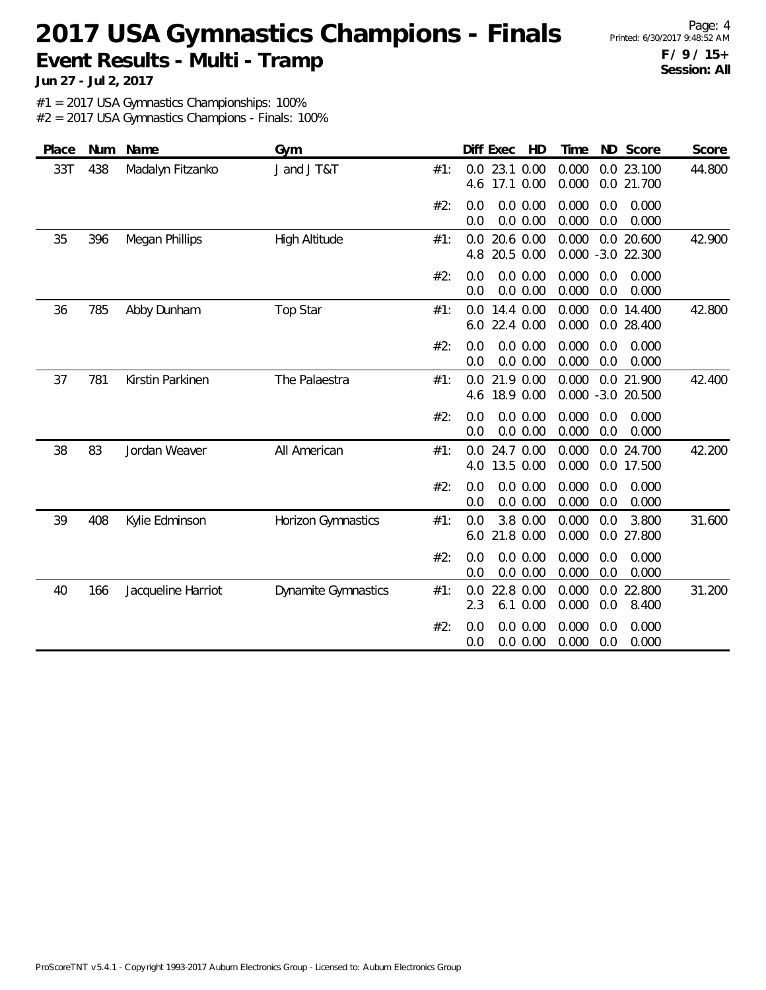Page: 4 **F / 9 / 15+ Session: All**

**Jun 27 - Jul 2, 2017**

#1 = 2017 USA Gymnastics Championships: 100%

| Place | Num | Name               | Gym                        |     | HD<br>Diff Exec                       | ND Score<br>Time                                | Score  |
|-------|-----|--------------------|----------------------------|-----|---------------------------------------|-------------------------------------------------|--------|
| 33T   | 438 | Madalyn Fitzanko   | J and J T&T                | #1: | 23.1 0.00<br>0.0<br>17.1 0.00<br>4.6  | 0.000<br>0.0 23.100<br>0.000<br>0.0 21.700      | 44.800 |
|       |     |                    |                            | #2: | 0.0 0.00<br>0.0<br>$0.0\ 0.00$<br>0.0 | 0.000<br>0.0<br>0.000<br>0.000<br>0.0<br>0.000  |        |
| 35    | 396 | Megan Phillips     | <b>High Altitude</b>       | #1: | 20.6 0.00<br>0.0<br>20.5 0.00<br>4.8  | 0.000<br>0.0 20.600<br>0.000<br>$-3.0$ 22.300   | 42.900 |
|       |     |                    |                            | #2: | $0.0\ 0.00$<br>0.0<br>0.0<br>0.0 0.00 | 0.000<br>0.0<br>0.000<br>0.000<br>0.0<br>0.000  |        |
| 36    | 785 | Abby Dunham        | <b>Top Star</b>            | #1: | 14.4 0.00<br>0.0<br>22.4 0.00<br>6.0  | 0.000<br>0.0 14.400<br>0.000<br>0.0 28.400      | 42.800 |
|       |     |                    |                            | #2: | $0.0\ 0.00$<br>0.0<br>0.0<br>0.0 0.00 | 0.000<br>0.0<br>0.000<br>0.000<br>0.0<br>0.000  |        |
| 37    | 781 | Kirstin Parkinen   | The Palaestra              | #1: | 21.9 0.00<br>0.0<br>18.9 0.00<br>4.6  | 0.000<br>0.0 21.900<br>0.000 -3.0 20.500        | 42.400 |
|       |     |                    |                            | #2: | 0.0 0.00<br>0.0<br>0.0 0.00<br>0.0    | 0.000<br>0.0<br>0.000<br>0.000<br>0.0<br>0.000  |        |
| 38    | 83  | Jordan Weaver      | All American               | #1: | 24.7 0.00<br>0.0<br>13.5 0.00<br>4.0  | 0.000<br>0.0 24.700<br>0.000<br>0.0 17.500      | 42.200 |
|       |     |                    |                            | #2: | 0.0 0.00<br>0.0<br>0.0<br>0.0 0.00    | 0.000<br>0.000<br>0.0<br>0.000<br>0.000<br>0.0  |        |
| 39    | 408 | Kylie Edminson     | Horizon Gymnastics         | #1: | 3.8 0.00<br>0.0<br>21.8 0.00<br>6.0   | 0.000<br>0.0<br>3.800<br>0.000<br>0.0<br>27.800 | 31.600 |
|       |     |                    |                            | #2: | 0.0<br>0.0 0.00<br>0.0 0.00<br>0.0    | 0.000<br>0.0<br>0.000<br>0.000<br>0.0<br>0.000  |        |
| 40    | 166 | Jacqueline Harriot | <b>Dynamite Gymnastics</b> | #1: | 22.8 0.00<br>0.0<br>2.3<br>6.1 0.00   | 0.000<br>0.0 22.800<br>0.000<br>0.0<br>8.400    | 31.200 |
|       |     |                    |                            | #2: | 0.0 0.00<br>0.0<br>0.0 0.00<br>0.0    | 0.000<br>0.000<br>0.0<br>0.000<br>0.0<br>0.000  |        |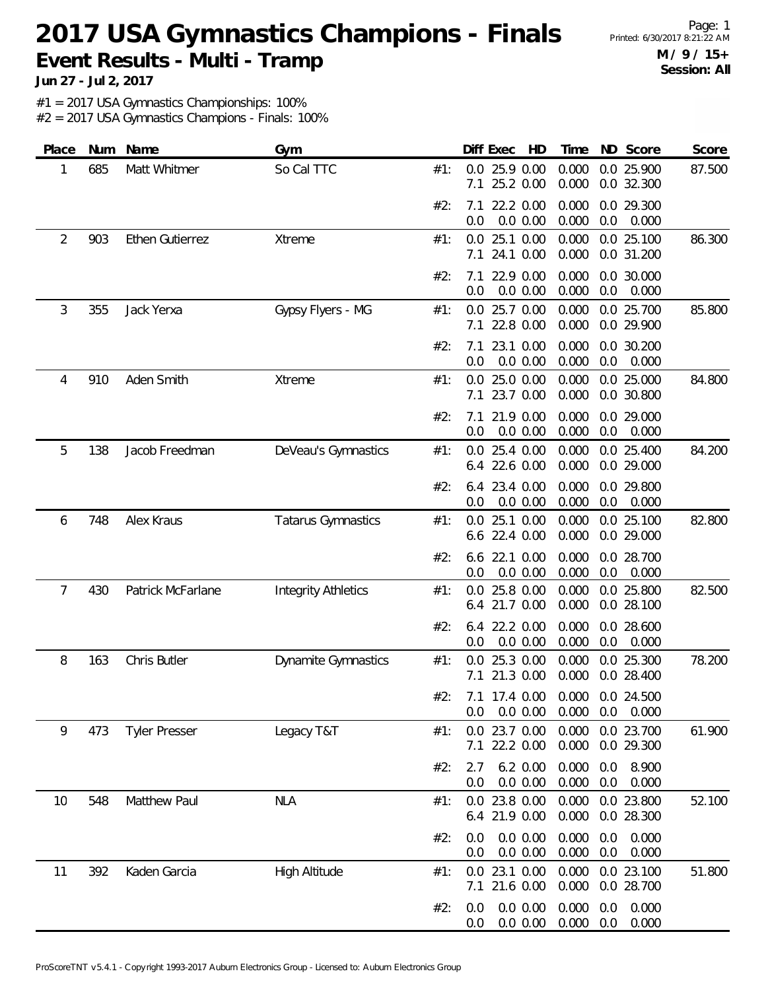Page: 1 **M / 9 / 15+ Session: All**

**Jun 27 - Jul 2, 2017**

#1 = 2017 USA Gymnastics Championships: 100%

| Place | <b>Num</b> | Name                   | Gym                        |     | Diff Exec<br>HD                                   | Time                         | ND Score                 | Score  |
|-------|------------|------------------------|----------------------------|-----|---------------------------------------------------|------------------------------|--------------------------|--------|
| 1     | 685        | Matt Whitmer           | So Cal TTC                 | #1: | 25.9 0.00<br>0.0<br>25.2 0.00<br>7.1              | 0.000<br>0.000               | 0.0 25.900<br>0.0 32.300 | 87.500 |
|       |            |                        |                            | #2: | 22.2 0.00<br>7.1<br>0.0 0.00<br>0.0               | 0.000<br>0.000<br>0.0        | 0.0 29.300<br>0.000      |        |
| 2     | 903        | <b>Ethen Gutierrez</b> | Xtreme                     | #1: | 25.1 0.00<br>0.0<br>24.1 0.00<br>7.1              | 0.000<br>0.000               | 0.0 25.100<br>0.0 31.200 | 86.300 |
|       |            |                        |                            | #2: | 22.9 0.00<br>7.1<br>0.0<br>0.0 0.00               | 0.000<br>0.000<br>0.0        | 0.0 30.000<br>0.000      |        |
| 3     | 355        | Jack Yerxa             | Gypsy Flyers - MG          | #1: | 0.0<br>25.7 0.00<br>22.8 0.00<br>7.1              | 0.000<br>0.000               | 0.0 25.700<br>0.0 29.900 | 85.800 |
|       |            |                        |                            | #2: | 23.1 0.00<br>7.1<br>0.0<br>0.0 0.00               | 0.000<br>0.000<br>0.0        | 0.0 30.200<br>0.000      |        |
| 4     | 910        | Aden Smith             | Xtreme                     | #1: | 25.0 0.00<br>0.0<br>23.7 0.00<br>7.1              | 0.000<br>0.000               | 0.0 25.000<br>0.0 30.800 | 84.800 |
|       |            |                        |                            | #2: | 21.9 0.00<br>7.1<br>0.0 0.00<br>0.0               | 0.000<br>0.000<br>0.0        | 0.0 29.000<br>0.000      |        |
| 5     | 138        | Jacob Freedman         | DeVeau's Gymnastics        | #1: | 25.4 0.00<br>0.0<br>22.6 0.00<br>6.4              | 0.000<br>0.000               | 0.0 25.400<br>0.0 29.000 | 84.200 |
|       |            |                        |                            | #2: | 23.4 0.00<br>6.4<br>0.0<br>0.0 0.00               | 0.000<br>0.000<br>0.0        | 0.0 29.800<br>0.000      |        |
| 6     | 748        | Alex Kraus             | <b>Tatarus Gymnastics</b>  | #1: | 25.1 0.00<br>0.0<br>22.4 0.00<br>6.6              | 0.000<br>0.000               | 0.0 25.100<br>0.0 29.000 | 82.800 |
|       |            |                        |                            | #2: | 22.1 0.00<br>6.6<br>0.0<br>0.0 0.00               | 0.000<br>0.000<br>0.0        | 0.0 28.700<br>0.000      |        |
| 7     | 430        | Patrick McFarlane      | <b>Integrity Athletics</b> | #1: | 25.8 0.00<br>0.0<br>21.7 0.00<br>6.4              | 0.000<br>0.000               | 0.0 25.800<br>0.0 28.100 | 82.500 |
|       |            |                        |                            | #2: | 22.2 0.00<br>6.4<br>0.0 0.00<br>0.0               | 0.000<br>0.000<br>0.0        | 0.0 28.600<br>0.000      |        |
| 8     | 163        | Chris Butler           | Dynamite Gymnastics        | #1: | 25.3 0.00<br>0.0<br>21.3 0.00<br>7.1              | 0.000<br>0.000               | 0.0 25.300<br>0.0 28.400 | 78.200 |
|       |            |                        |                            | #2: | 7.1 17.4 0.00 0.000 0.0 24.500<br>0.0 0.00<br>0.0 | 0.000                        | $0.0\quad 0.000$         |        |
| 9     | 473        | <b>Tyler Presser</b>   | Legacy T&T                 | #1: | 0.0 23.7 0.00<br>22.2 0.00<br>7.1                 | 0.000<br>0.000               | 0.0 23.700<br>0.0 29.300 | 61.900 |
|       |            |                        |                            | #2: | 6.2 0.00<br>2.7<br>0.0 0.00<br>0.0                | 0.000<br>0.0<br>0.000<br>0.0 | 8.900<br>0.000           |        |
| 10    | 548        | Matthew Paul           | <b>NLA</b>                 | #1: | 0.0 23.8 0.00<br>6.4 21.9 0.00                    | 0.000<br>0.000               | 0.0 23.800<br>0.0 28.300 | 52.100 |
|       |            |                        |                            | #2: | 0.0 0.00<br>0.0<br>0.0 0.00<br>0.0                | 0.000<br>0.0<br>0.000<br>0.0 | 0.000<br>0.000           |        |
| 11    | 392        | Kaden Garcia           | High Altitude              | #1: | 23.1 0.00<br>0.0<br>7.1 21.6 0.00                 | 0.000<br>0.000               | 0.0 23.100<br>0.0 28.700 | 51.800 |
|       |            |                        |                            | #2: | 0.0 0.00<br>0.0<br>0.0 0.00<br>0.0                | 0.000<br>0.0<br>0.000<br>0.0 | 0.000<br>0.000           |        |